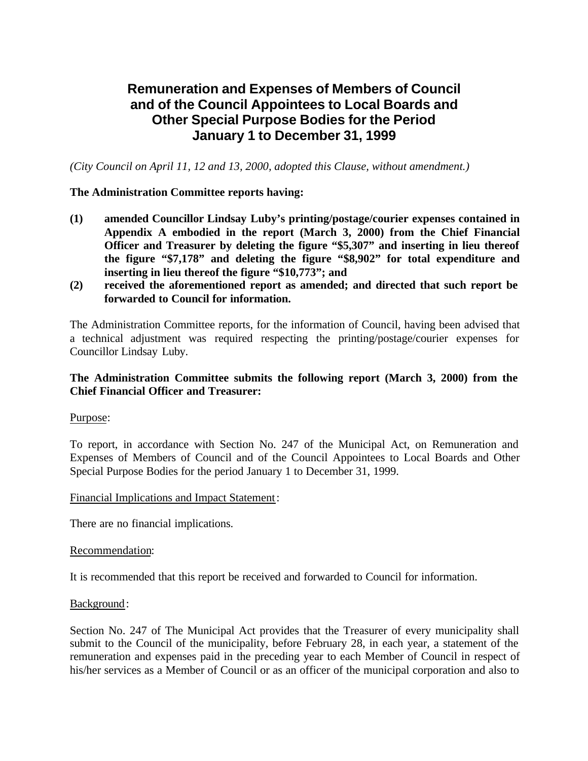# **Remuneration and Expenses of Members of Council and of the Council Appointees to Local Boards and Other Special Purpose Bodies for the Period January 1 to December 31, 1999**

*(City Council on April 11, 12 and 13, 2000, adopted this Clause, without amendment.)*

### **The Administration Committee reports having:**

- **(1) amended Councillor Lindsay Luby's printing/postage/courier expenses contained in Appendix A embodied in the report (March 3, 2000) from the Chief Financial Officer and Treasurer by deleting the figure "\$5,307" and inserting in lieu thereof the figure "\$7,178" and deleting the figure "\$8,902" for total expenditure and inserting in lieu thereof the figure "\$10,773"; and**
- **(2) received the aforementioned report as amended; and directed that such report be forwarded to Council for information.**

The Administration Committee reports, for the information of Council, having been advised that a technical adjustment was required respecting the printing/postage/courier expenses for Councillor Lindsay Luby.

### **The Administration Committee submits the following report (March 3, 2000) from the Chief Financial Officer and Treasurer:**

### Purpose:

To report, in accordance with Section No. 247 of the Municipal Act, on Remuneration and Expenses of Members of Council and of the Council Appointees to Local Boards and Other Special Purpose Bodies for the period January 1 to December 31, 1999.

### Financial Implications and Impact Statement:

There are no financial implications.

### Recommendation:

It is recommended that this report be received and forwarded to Council for information.

### Background:

Section No. 247 of The Municipal Act provides that the Treasurer of every municipality shall submit to the Council of the municipality, before February 28, in each year, a statement of the remuneration and expenses paid in the preceding year to each Member of Council in respect of his/her services as a Member of Council or as an officer of the municipal corporation and also to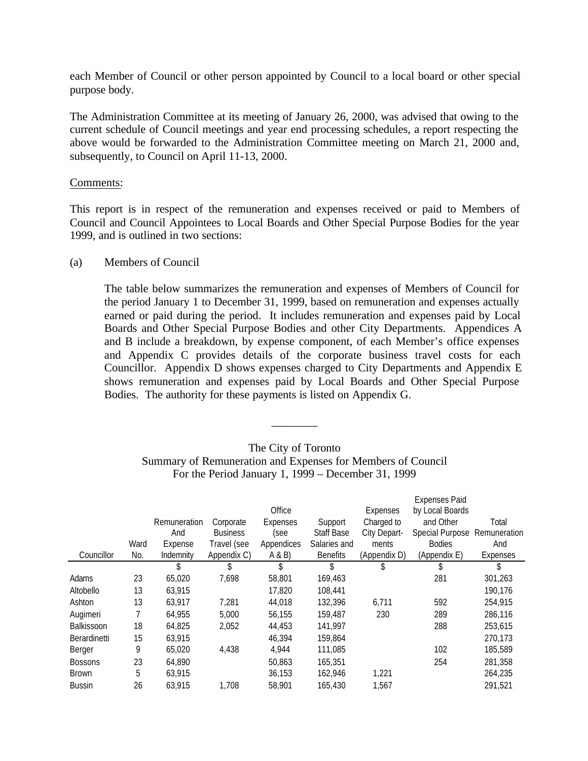each Member of Council or other person appointed by Council to a local board or other special purpose body.

The Administration Committee at its meeting of January 26, 2000, was advised that owing to the current schedule of Council meetings and year end processing schedules, a report respecting the above would be forwarded to the Administration Committee meeting on March 21, 2000 and, subsequently, to Council on April 11-13, 2000.

### Comments:

This report is in respect of the remuneration and expenses received or paid to Members of Council and Council Appointees to Local Boards and Other Special Purpose Bodies for the year 1999, and is outlined in two sections:

### (a) Members of Council

The table below summarizes the remuneration and expenses of Members of Council for the period January 1 to December 31, 1999, based on remuneration and expenses actually earned or paid during the period. It includes remuneration and expenses paid by Local Boards and Other Special Purpose Bodies and other City Departments. Appendices A and B include a breakdown, by expense component, of each Member's office expenses and Appendix C provides details of the corporate business travel costs for each Councillor. Appendix D shows expenses charged to City Departments and Appendix E shows remuneration and expenses paid by Local Boards and Other Special Purpose Bodies. The authority for these payments is listed on Appendix G.

|                   |      |              |                 |            |                   |              | <b>Expenses Paid</b> |              |
|-------------------|------|--------------|-----------------|------------|-------------------|--------------|----------------------|--------------|
|                   |      |              |                 | Office     |                   | Expenses     | by Local Boards      |              |
|                   |      | Remuneration | Corporate       | Expenses   | Support           | Charged to   | and Other            | Total        |
|                   |      | And          | <b>Business</b> | (see       | <b>Staff Base</b> | City Depart- | Special Purpose      | Remuneration |
|                   | Ward | Expense      | Travel (see     | Appendices | Salaries and      | ments        | <b>Bodies</b>        | And          |
| Councillor        | No.  | Indemnity    | Appendix C)     | A & B      | <b>Benefits</b>   | (Appendix D) | (Appendix E)         | Expenses     |
|                   |      | \$           | \$              | \$         | S                 | \$           | \$                   | \$           |
| Adams             | 23   | 65,020       | 7,698           | 58,801     | 169,463           |              | 281                  | 301,263      |
| Altobello         | 13   | 63,915       |                 | 17,820     | 108,441           |              |                      | 190,176      |
| Ashton            | 13   | 63,917       | 7,281           | 44,018     | 132,396           | 6,711        | 592                  | 254,915      |
| Augimeri          | 7    | 64.955       | 5,000           | 56.155     | 159,487           | 230          | 289                  | 286,116      |
| <b>Balkissoon</b> | 18   | 64,825       | 2,052           | 44,453     | 141,997           |              | 288                  | 253,615      |
| Berardinetti      | 15   | 63,915       |                 | 46,394     | 159,864           |              |                      | 270,173      |
| Berger            | 9    | 65,020       | 4,438           | 4,944      | 111,085           |              | 102                  | 185,589      |
| <b>Bossons</b>    | 23   | 64,890       |                 | 50,863     | 165,351           |              | 254                  | 281,358      |
| <b>Brown</b>      | 5    | 63.915       |                 | 36.153     | 162.946           | 1,221        |                      | 264,235      |
| <b>Bussin</b>     | 26   | 63,915       | 1,708           | 58,901     | 165,430           | 1,567        |                      | 291,521      |

### The City of Toronto Summary of Remuneration and Expenses for Members of Council For the Period January 1, 1999 – December 31, 1999

\_\_\_\_\_\_\_\_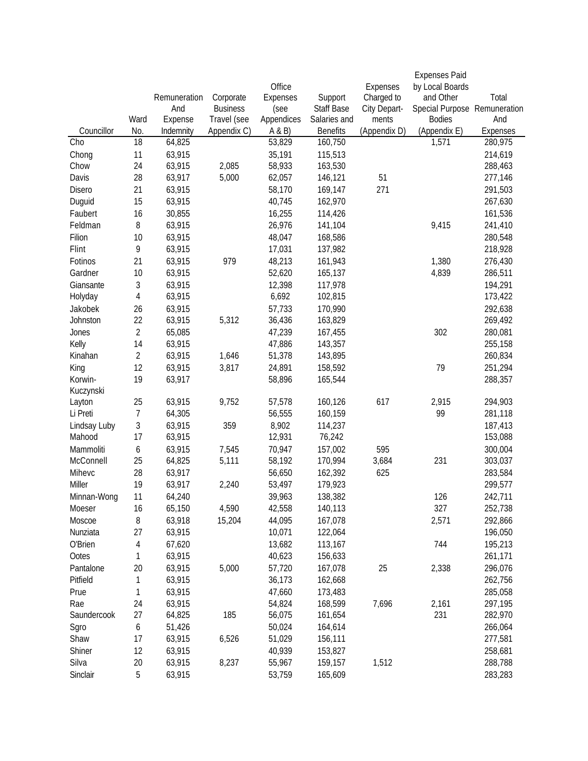|              |                |              |                 |            |                 |              | <b>Expenses Paid</b>         |          |
|--------------|----------------|--------------|-----------------|------------|-----------------|--------------|------------------------------|----------|
|              |                |              |                 | Office     |                 | Expenses     | by Local Boards              |          |
|              |                | Remuneration | Corporate       | Expenses   | Support         | Charged to   | and Other                    | Total    |
|              |                | And          | <b>Business</b> | (see       | Staff Base      | City Depart- | Special Purpose Remuneration |          |
|              | Ward           | Expense      | Travel (see     | Appendices | Salaries and    | ments        | <b>Bodies</b>                | And      |
| Councillor   | No.            | Indemnity    | Appendix C)     | A & B      | <b>Benefits</b> | (Appendix D) | (Appendix E)                 | Expenses |
| Cho          | 18             | 64,825       |                 | 53,829     | 160,750         |              | 1,571                        | 280,975  |
| Chong        | 11             | 63,915       |                 | 35,191     | 115,513         |              |                              | 214,619  |
| Chow         | 24             | 63,915       | 2,085           | 58,933     | 163,530         |              |                              | 288,463  |
| Davis        | 28             | 63,917       | 5,000           | 62,057     | 146,121         | 51           |                              | 277,146  |
| Disero       | 21             | 63,915       |                 | 58,170     | 169,147         | 271          |                              | 291,503  |
| Duguid       | 15             | 63,915       |                 | 40,745     | 162,970         |              |                              | 267,630  |
| Faubert      | 16             | 30,855       |                 | 16,255     | 114,426         |              |                              | 161,536  |
| Feldman      | 8              | 63,915       |                 | 26,976     | 141,104         |              | 9,415                        | 241,410  |
| Filion       | 10             | 63,915       |                 | 48,047     | 168,586         |              |                              | 280,548  |
| Flint        | 9              | 63,915       |                 | 17,031     | 137,982         |              |                              | 218,928  |
| Fotinos      | 21             | 63,915       | 979             | 48,213     | 161,943         |              | 1,380                        | 276,430  |
| Gardner      | 10             | 63,915       |                 | 52,620     | 165,137         |              | 4,839                        | 286,511  |
| Giansante    | 3              | 63,915       |                 | 12,398     | 117,978         |              |                              | 194,291  |
| Holyday      | $\overline{4}$ | 63,915       |                 | 6,692      | 102,815         |              |                              | 173,422  |
| Jakobek      | 26             | 63,915       |                 | 57,733     | 170,990         |              |                              | 292,638  |
| Johnston     | 22             | 63,915       | 5,312           | 36,436     | 163,829         |              |                              | 269,492  |
| Jones        | $\overline{2}$ | 65,085       |                 | 47,239     | 167,455         |              | 302                          | 280,081  |
| Kelly        | 14             | 63,915       |                 | 47,886     | 143,357         |              |                              | 255,158  |
| Kinahan      | $\overline{2}$ | 63,915       | 1,646           | 51,378     | 143,895         |              |                              | 260,834  |
| King         | 12             | 63,915       | 3,817           | 24,891     | 158,592         |              | 79                           | 251,294  |
| Korwin-      | 19             | 63,917       |                 | 58,896     | 165,544         |              |                              | 288,357  |
| Kuczynski    |                |              |                 |            |                 |              |                              |          |
| Layton       | 25             | 63,915       | 9,752           | 57,578     | 160,126         | 617          | 2,915                        | 294,903  |
| Li Preti     | $\overline{7}$ | 64,305       |                 | 56,555     | 160,159         |              | 99                           | 281,118  |
| Lindsay Luby | 3              | 63,915       | 359             | 8,902      | 114,237         |              |                              | 187,413  |
| Mahood       | 17             | 63,915       |                 | 12,931     | 76,242          |              |                              | 153,088  |
| Mammoliti    | 6              | 63,915       | 7,545           | 70,947     | 157,002         | 595          |                              | 300,004  |
| McConnell    | 25             | 64,825       | 5,111           | 58,192     | 170,994         | 3,684        | 231                          | 303,037  |
| Mihevc       | 28             | 63,917       |                 | 56,650     | 162,392         | 625          |                              | 283,584  |
| Miller       | 19             | 63,917       | 2,240           | 53,497     | 179,923         |              |                              | 299,577  |
| Minnan-Wong  | 11             | 64,240       |                 | 39,963     | 138,382         |              | 126                          | 242,711  |
|              | 16             | 65,150       | 4,590           | 42,558     |                 |              | 327                          |          |
| Moeser       |                |              |                 |            | 140,113         |              |                              | 252,738  |
| Moscoe       | 8              | 63,918       | 15,204          | 44,095     | 167,078         |              | 2,571                        | 292,866  |
| Nunziata     | 27             | 63,915       |                 | 10,071     | 122,064         |              |                              | 196,050  |
| O'Brien      | 4              | 67,620       |                 | 13,682     | 113,167         |              | 744                          | 195,213  |
| Ootes        | 1              | 63,915       |                 | 40,623     | 156,633         |              |                              | 261,171  |
| Pantalone    | 20             | 63,915       | 5,000           | 57,720     | 167,078         | 25           | 2,338                        | 296,076  |
| Pitfield     | 1              | 63,915       |                 | 36,173     | 162,668         |              |                              | 262,756  |
| Prue         | 1              | 63,915       |                 | 47,660     | 173,483         |              |                              | 285,058  |
| Rae          | 24             | 63,915       |                 | 54,824     | 168,599         | 7,696        | 2,161                        | 297,195  |
| Saundercook  | 27             | 64,825       | 185             | 56,075     | 161,654         |              | 231                          | 282,970  |
| Sgro         | 6              | 51,426       |                 | 50,024     | 164,614         |              |                              | 266,064  |
| Shaw         | 17             | 63,915       | 6,526           | 51,029     | 156,111         |              |                              | 277,581  |
| Shiner       | 12             | 63,915       |                 | 40,939     | 153,827         |              |                              | 258,681  |
| Silva        | 20             | 63,915       | 8,237           | 55,967     | 159,157         | 1,512        |                              | 288,788  |
| Sinclair     | 5              | 63,915       |                 | 53,759     | 165,609         |              |                              | 283,283  |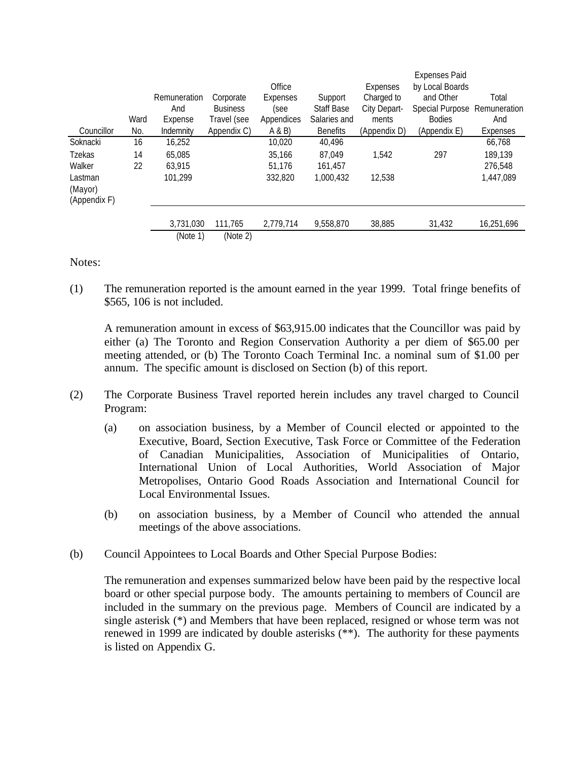|              |      |              |                 |            |                   |              | <b>Expenses Paid</b> |              |
|--------------|------|--------------|-----------------|------------|-------------------|--------------|----------------------|--------------|
|              |      |              |                 | Office     |                   | Expenses     | by Local Boards      |              |
|              |      | Remuneration | Corporate       | Expenses   | Support           | Charged to   | and Other            | Total        |
|              |      | And          | <b>Business</b> | (see       | <b>Staff Base</b> | City Depart- | Special Purpose      | Remuneration |
|              | Ward | Expense      | Travel (see     | Appendices | Salaries and      | ments        | <b>Bodies</b>        | And          |
| Councillor   | No.  | Indemnity    | Appendix C)     | A & B      | <b>Benefits</b>   | (Appendix D) | (Appendix E)         | Expenses     |
| Soknacki     | 16   | 16,252       |                 | 10,020     | 40,496            |              |                      | 66,768       |
| Tzekas       | 14   | 65.085       |                 | 35.166     | 87.049            | 1.542        | 297                  | 189,139      |
| Walker       | 22   | 63.915       |                 | 51.176     | 161.457           |              |                      | 276.548      |
| Lastman      |      | 101.299      |                 | 332,820    | 1.000.432         | 12,538       |                      | 1,447,089    |
| (Mayor)      |      |              |                 |            |                   |              |                      |              |
| (Appendix F) |      |              |                 |            |                   |              |                      |              |
|              |      | 3,731,030    | 111.765         | 2.779.714  | 9.558.870         | 38,885       | 31,432               | 16,251,696   |
|              |      | (Note 1)     | (Note 2)        |            |                   |              |                      |              |

Notes:

(1) The remuneration reported is the amount earned in the year 1999. Total fringe benefits of \$565, 106 is not included.

A remuneration amount in excess of \$63,915.00 indicates that the Councillor was paid by either (a) The Toronto and Region Conservation Authority a per diem of \$65.00 per meeting attended, or (b) The Toronto Coach Terminal Inc. a nominal sum of \$1.00 per annum. The specific amount is disclosed on Section (b) of this report.

- (2) The Corporate Business Travel reported herein includes any travel charged to Council Program:
	- (a) on association business, by a Member of Council elected or appointed to the Executive, Board, Section Executive, Task Force or Committee of the Federation of Canadian Municipalities, Association of Municipalities of Ontario, International Union of Local Authorities, World Association of Major Metropolises, Ontario Good Roads Association and International Council for Local Environmental Issues.
	- (b) on association business, by a Member of Council who attended the annual meetings of the above associations.
- (b) Council Appointees to Local Boards and Other Special Purpose Bodies:

The remuneration and expenses summarized below have been paid by the respective local board or other special purpose body. The amounts pertaining to members of Council are included in the summary on the previous page. Members of Council are indicated by a single asterisk (\*) and Members that have been replaced, resigned or whose term was not renewed in 1999 are indicated by double asterisks (\*\*). The authority for these payments is listed on Appendix G.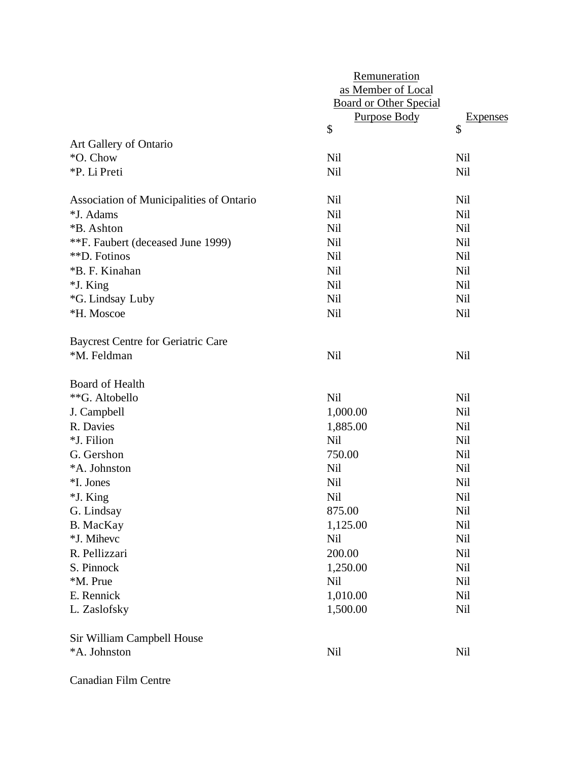|                                           | Remuneration<br>as Member of Local<br><b>Board or Other Special</b><br><b>Purpose Body</b> | <b>Expenses</b> |
|-------------------------------------------|--------------------------------------------------------------------------------------------|-----------------|
|                                           | \$                                                                                         | \$              |
| Art Gallery of Ontario                    |                                                                                            |                 |
| *O. Chow                                  | <b>Nil</b>                                                                                 | <b>Nil</b>      |
| *P. Li Preti                              | <b>Nil</b>                                                                                 | <b>Nil</b>      |
| Association of Municipalities of Ontario  | <b>Nil</b>                                                                                 | <b>Nil</b>      |
| *J. Adams                                 | <b>Nil</b>                                                                                 | <b>Nil</b>      |
| *B. Ashton                                | <b>Nil</b>                                                                                 | <b>Nil</b>      |
| **F. Faubert (deceased June 1999)         | <b>Nil</b>                                                                                 | <b>Nil</b>      |
| **D. Fotinos                              | <b>Nil</b>                                                                                 | <b>Nil</b>      |
| *B. F. Kinahan                            | Nil                                                                                        | <b>Nil</b>      |
| *J. King                                  | <b>Nil</b>                                                                                 | Nil             |
| *G. Lindsay Luby                          | <b>Nil</b>                                                                                 | <b>Nil</b>      |
| *H. Moscoe                                | <b>Nil</b>                                                                                 | <b>Nil</b>      |
| <b>Baycrest Centre for Geriatric Care</b> |                                                                                            |                 |
| *M. Feldman                               | <b>Nil</b>                                                                                 | <b>Nil</b>      |
| Board of Health                           |                                                                                            |                 |
| **G. Altobello                            | Nil                                                                                        | Nil             |
| J. Campbell                               | 1,000.00                                                                                   | Nil             |
| R. Davies                                 | 1,885.00                                                                                   | <b>Nil</b>      |
| *J. Filion                                | <b>Nil</b>                                                                                 | <b>Nil</b>      |
| G. Gershon                                | 750.00                                                                                     | <b>Nil</b>      |
| *A. Johnston                              | Nil                                                                                        | Nil             |
| *I. Jones                                 | Nil                                                                                        | Nil             |
| *J. King                                  | Nil                                                                                        | Nil             |
| G. Lindsay                                | 875.00                                                                                     | Nil             |
| <b>B.</b> MacKay                          | 1,125.00                                                                                   | Nil             |
| *J. Mihevc                                | <b>Nil</b>                                                                                 | Nil             |
| R. Pellizzari                             | 200.00                                                                                     | Nil             |
| S. Pinnock                                | 1,250.00                                                                                   | Nil             |
| *M. Prue                                  | Nil                                                                                        | Nil             |
| E. Rennick                                | 1,010.00                                                                                   | Nil             |
| L. Zaslofsky                              | 1,500.00                                                                                   | Nil             |
| Sir William Campbell House                |                                                                                            |                 |
| *A. Johnston                              | <b>Nil</b>                                                                                 | Nil             |
| Canadian Film Centre                      |                                                                                            |                 |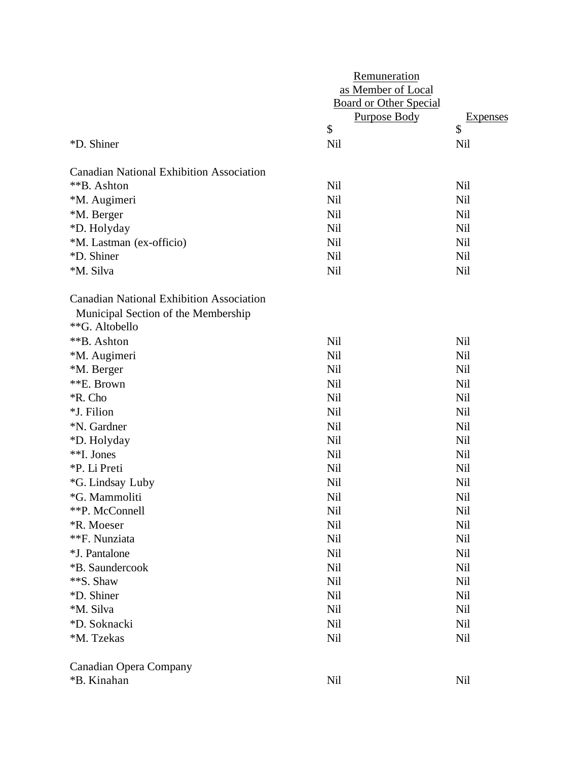|                                                                                                          | Remuneration<br>as Member of Local<br><b>Board or Other Special</b><br><b>Purpose Body</b> | <b>Expenses</b> |
|----------------------------------------------------------------------------------------------------------|--------------------------------------------------------------------------------------------|-----------------|
|                                                                                                          | \$                                                                                         | \$              |
| *D. Shiner                                                                                               | <b>Nil</b>                                                                                 | Nil             |
| <b>Canadian National Exhibition Association</b>                                                          |                                                                                            |                 |
| **B. Ashton                                                                                              | Nil                                                                                        | <b>Nil</b>      |
| *M. Augimeri                                                                                             | <b>Nil</b>                                                                                 | Nil             |
| *M. Berger                                                                                               | <b>Nil</b>                                                                                 | <b>Nil</b>      |
| *D. Holyday                                                                                              | <b>Nil</b>                                                                                 | <b>Nil</b>      |
| *M. Lastman (ex-officio)                                                                                 | <b>Nil</b>                                                                                 | <b>Nil</b>      |
| *D. Shiner                                                                                               | <b>Nil</b>                                                                                 | <b>Nil</b>      |
| *M. Silva                                                                                                | <b>Nil</b>                                                                                 | <b>Nil</b>      |
| <b>Canadian National Exhibition Association</b><br>Municipal Section of the Membership<br>**G. Altobello |                                                                                            |                 |
| **B. Ashton                                                                                              | <b>Nil</b>                                                                                 | <b>Nil</b>      |
| *M. Augimeri                                                                                             | <b>Nil</b>                                                                                 | Nil             |
| *M. Berger                                                                                               | <b>Nil</b>                                                                                 | <b>Nil</b>      |
| **E. Brown                                                                                               | <b>Nil</b>                                                                                 | <b>Nil</b>      |
| *R. Cho                                                                                                  | <b>Nil</b>                                                                                 | <b>Nil</b>      |
| *J. Filion                                                                                               | <b>Nil</b>                                                                                 | Nil             |
| *N. Gardner                                                                                              | Nil                                                                                        | Nil             |
| *D. Holyday                                                                                              | <b>Nil</b>                                                                                 | <b>Nil</b>      |
| **I. Jones                                                                                               | <b>Nil</b>                                                                                 | <b>Nil</b>      |
| *P. Li Preti                                                                                             | <b>Nil</b>                                                                                 | Nil             |
| *G. Lindsay Luby                                                                                         | Nil                                                                                        | Nil             |
| *G. Mammoliti                                                                                            | Nil                                                                                        | Nil             |
| **P. McConnell                                                                                           | Nil                                                                                        | Nil             |
| *R. Moeser                                                                                               | <b>Nil</b>                                                                                 | <b>Nil</b>      |
| **F. Nunziata                                                                                            | Nil                                                                                        | Nil             |
| *J. Pantalone                                                                                            | Nil                                                                                        | Nil             |
| *B. Saundercook                                                                                          | <b>Nil</b>                                                                                 | Nil             |
| **S. Shaw                                                                                                | <b>Nil</b>                                                                                 | <b>Nil</b>      |
| *D. Shiner                                                                                               | Nil                                                                                        | Nil             |
| *M. Silva                                                                                                | Nil                                                                                        | Nil             |
| *D. Soknacki                                                                                             | Nil                                                                                        | Nil             |
| *M. Tzekas                                                                                               | Nil                                                                                        | Nil             |
| <b>Canadian Opera Company</b>                                                                            |                                                                                            |                 |
| *B. Kinahan                                                                                              | Nil                                                                                        | Nil             |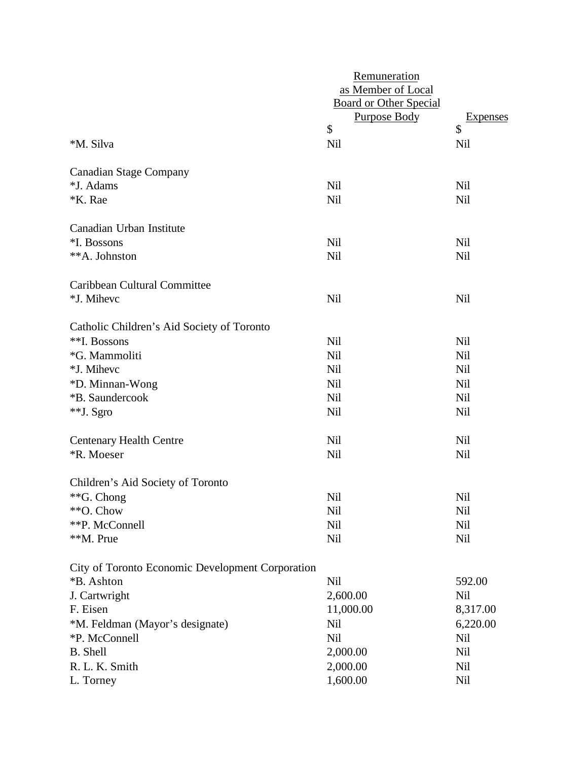|                                                  | Remuneration                  |            |  |  |
|--------------------------------------------------|-------------------------------|------------|--|--|
|                                                  | as Member of Local            |            |  |  |
|                                                  | <b>Board or Other Special</b> |            |  |  |
|                                                  | <b>Purpose Body</b>           | Expenses   |  |  |
|                                                  | \$                            | \$         |  |  |
| *M. Silva                                        | Nil                           | Nil        |  |  |
| <b>Canadian Stage Company</b>                    |                               |            |  |  |
| *J. Adams                                        | <b>Nil</b>                    | <b>Nil</b> |  |  |
| <b>*K.</b> Rae                                   | Nil                           | <b>Nil</b> |  |  |
| Canadian Urban Institute                         |                               |            |  |  |
| *I. Bossons                                      | <b>Nil</b>                    | Nil        |  |  |
| **A. Johnston                                    | Nil                           | <b>Nil</b> |  |  |
| Caribbean Cultural Committee                     |                               |            |  |  |
| *J. Mihevc                                       | <b>Nil</b>                    | Nil        |  |  |
| Catholic Children's Aid Society of Toronto       |                               |            |  |  |
| **I. Bossons                                     | <b>Nil</b>                    | <b>Nil</b> |  |  |
| *G. Mammoliti                                    | <b>Nil</b>                    | <b>Nil</b> |  |  |
| *J. Mihevc                                       | <b>Nil</b>                    | Nil        |  |  |
| *D. Minnan-Wong                                  | Nil                           | <b>Nil</b> |  |  |
| *B. Saundercook                                  | <b>Nil</b>                    | <b>Nil</b> |  |  |
| **J. Sgro                                        | <b>Nil</b>                    | <b>Nil</b> |  |  |
| <b>Centenary Health Centre</b>                   | <b>Nil</b>                    | <b>Nil</b> |  |  |
| *R. Moeser                                       | Nil                           | <b>Nil</b> |  |  |
| Children's Aid Society of Toronto                |                               |            |  |  |
| **G. Chong                                       | Nil                           | <b>Nil</b> |  |  |
| **O. Chow                                        | Nil                           | Nil        |  |  |
| **P. McConnell                                   | <b>Nil</b>                    | <b>Nil</b> |  |  |
| **M. Prue                                        | <b>Nil</b>                    | Nil        |  |  |
| City of Toronto Economic Development Corporation |                               |            |  |  |
| *B. Ashton                                       | <b>Nil</b>                    | 592.00     |  |  |
| J. Cartwright                                    | 2,600.00                      | Nil        |  |  |
| F. Eisen                                         | 11,000.00                     | 8,317.00   |  |  |
| *M. Feldman (Mayor's designate)                  | Nil                           | 6,220.00   |  |  |
| *P. McConnell                                    | Nil                           | Nil        |  |  |
| <b>B.</b> Shell                                  | 2,000.00                      | Nil        |  |  |
| R. L. K. Smith                                   | 2,000.00                      | Nil        |  |  |
| L. Torney                                        | 1,600.00                      | Nil        |  |  |
|                                                  |                               |            |  |  |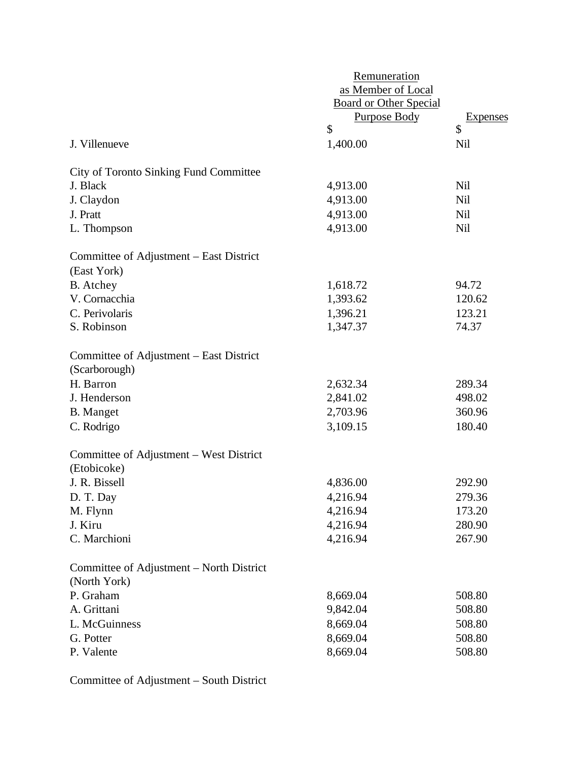|                                                          | Remuneration                  |            |
|----------------------------------------------------------|-------------------------------|------------|
|                                                          | as Member of Local            |            |
|                                                          | <b>Board or Other Special</b> |            |
|                                                          | <b>Purpose Body</b>           | Expenses   |
|                                                          | \$                            | \$         |
| J. Villenueve                                            | 1,400.00                      | Nil        |
| <b>City of Toronto Sinking Fund Committee</b>            |                               |            |
| J. Black                                                 | 4,913.00                      | Nil        |
| J. Claydon                                               | 4,913.00                      | Nil        |
| J. Pratt                                                 | 4,913.00                      | Nil        |
| L. Thompson                                              | 4,913.00                      | <b>Nil</b> |
| Committee of Adjustment – East District<br>(East York)   |                               |            |
| <b>B.</b> Atchey                                         | 1,618.72                      | 94.72      |
| V. Cornacchia                                            | 1,393.62                      | 120.62     |
| C. Perivolaris                                           | 1,396.21                      | 123.21     |
| S. Robinson                                              | 1,347.37                      | 74.37      |
| Committee of Adjustment – East District<br>(Scarborough) |                               |            |
| H. Barron                                                | 2,632.34                      | 289.34     |
| J. Henderson                                             | 2,841.02                      | 498.02     |
| <b>B.</b> Manget                                         | 2,703.96                      | 360.96     |
| C. Rodrigo                                               | 3,109.15                      | 180.40     |
| Committee of Adjustment – West District<br>(Etobicoke)   |                               |            |
| J. R. Bissell                                            | 4,836.00                      | 292.90     |
| D. T. Day                                                | 4,216.94                      | 279.36     |
| M. Flynn                                                 | 4,216.94                      | 173.20     |
| J. Kiru                                                  | 4,216.94                      | 280.90     |
| C. Marchioni                                             | 4,216.94                      | 267.90     |
| Committee of Adjustment – North District<br>(North York) |                               |            |
| P. Graham                                                | 8,669.04                      | 508.80     |
| A. Grittani                                              | 9,842.04                      | 508.80     |
| L. McGuinness                                            | 8,669.04                      | 508.80     |
| G. Potter                                                | 8,669.04                      | 508.80     |
| P. Valente                                               | 8,669.04                      | 508.80     |
|                                                          |                               |            |

Committee of Adjustment – South District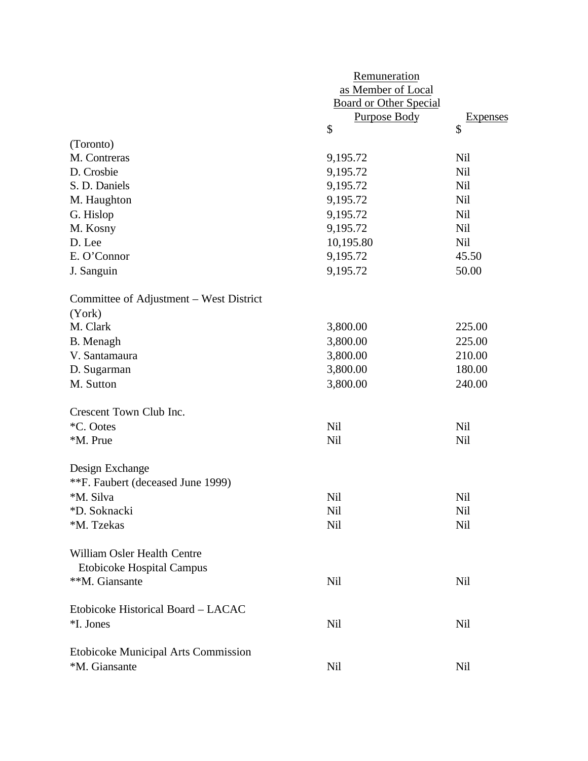|                                            | Remuneration                  |            |
|--------------------------------------------|-------------------------------|------------|
|                                            | as Member of Local            |            |
|                                            | <b>Board or Other Special</b> |            |
|                                            | <b>Purpose Body</b>           | Expenses   |
|                                            | \$                            | \$         |
| (Toronto)                                  |                               |            |
| M. Contreras                               | 9,195.72                      | <b>Nil</b> |
| D. Crosbie                                 | 9,195.72                      | <b>Nil</b> |
| S. D. Daniels                              | 9,195.72                      | Nil        |
| M. Haughton                                | 9,195.72                      | <b>Nil</b> |
| G. Hislop                                  | 9,195.72                      | Nil        |
| M. Kosny                                   | 9,195.72                      | <b>Nil</b> |
| D. Lee                                     | 10,195.80                     | Nil        |
| E. O'Connor                                | 9,195.72                      | 45.50      |
| J. Sanguin                                 | 9,195.72                      | 50.00      |
| Committee of Adjustment – West District    |                               |            |
| (York)                                     |                               |            |
| M. Clark                                   | 3,800.00                      | 225.00     |
| B. Menagh                                  | 3,800.00                      | 225.00     |
| V. Santamaura                              | 3,800.00                      | 210.00     |
| D. Sugarman                                | 3,800.00                      | 180.00     |
| M. Sutton                                  | 3,800.00                      | 240.00     |
| Crescent Town Club Inc.                    |                               |            |
| *C. Ootes                                  | <b>Nil</b>                    | Nil        |
| *M. Prue                                   | <b>Nil</b>                    | Nil        |
| Design Exchange                            |                               |            |
| **F. Faubert (deceased June 1999)          |                               |            |
| *M. Silva                                  | Nil                           | Nil        |
| *D. Soknacki                               | Nil                           | Nil        |
| *M. Tzekas                                 | Nil                           | <b>Nil</b> |
| William Osler Health Centre                |                               |            |
| <b>Etobicoke Hospital Campus</b>           |                               |            |
| **M. Giansante                             | <b>Nil</b>                    | Nil        |
| Etobicoke Historical Board - LACAC         |                               |            |
| *I. Jones                                  | Nil                           | <b>Nil</b> |
| <b>Etobicoke Municipal Arts Commission</b> |                               |            |
| *M. Giansante                              | Nil                           | Nil        |
|                                            |                               |            |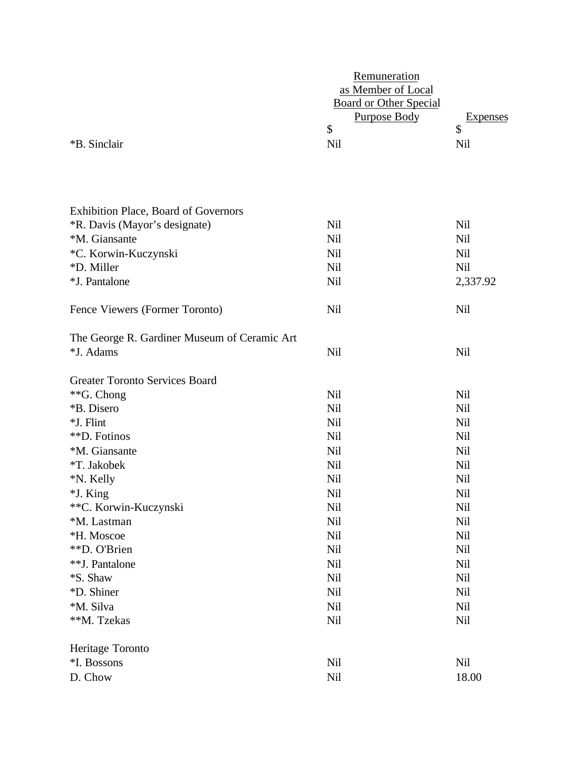|                                              | Remuneration<br>as Member of Local<br><b>Board or Other Special</b> |                 |  |  |
|----------------------------------------------|---------------------------------------------------------------------|-----------------|--|--|
|                                              | <b>Purpose Body</b>                                                 | <b>Expenses</b> |  |  |
| *B. Sinclair                                 | \$<br><b>Nil</b>                                                    | \$<br>Nil       |  |  |
| <b>Exhibition Place, Board of Governors</b>  |                                                                     |                 |  |  |
| <i>*R. Davis (Mayor's designate)</i>         | <b>Nil</b>                                                          | <b>Nil</b>      |  |  |
| *M. Giansante                                | <b>Nil</b>                                                          | <b>Nil</b>      |  |  |
| *C. Korwin-Kuczynski                         | Nil                                                                 | Nil             |  |  |
| *D. Miller                                   | <b>Nil</b>                                                          | <b>Nil</b>      |  |  |
| *J. Pantalone                                | Nil                                                                 | 2,337.92        |  |  |
| Fence Viewers (Former Toronto)               | <b>Nil</b>                                                          | <b>Nil</b>      |  |  |
| The George R. Gardiner Museum of Ceramic Art |                                                                     |                 |  |  |
| *J. Adams                                    | Nil                                                                 | <b>Nil</b>      |  |  |
| <b>Greater Toronto Services Board</b>        |                                                                     |                 |  |  |
| **G. Chong                                   | <b>Nil</b>                                                          | <b>Nil</b>      |  |  |
| *B. Disero                                   | <b>Nil</b>                                                          | <b>Nil</b>      |  |  |
| *J. Flint                                    | <b>Nil</b>                                                          | <b>Nil</b>      |  |  |
| **D. Fotinos                                 | Nil                                                                 | Nil             |  |  |
| *M. Giansante                                | Nil                                                                 | Nil             |  |  |
| *T. Jakobek                                  | <b>Nil</b>                                                          | <b>Nil</b>      |  |  |
| *N. Kelly                                    | <b>Nil</b>                                                          | Nil             |  |  |
| *J. King                                     | <b>Nil</b>                                                          | Nil             |  |  |
| **C. Korwin-Kuczynski                        | Nil                                                                 | Nil             |  |  |
| *M. Lastman                                  | Nil                                                                 | Nil             |  |  |
| *H. Moscoe<br>**D. O'Brien                   | Nil<br>Nil                                                          | Nil<br>Nil      |  |  |
| **J. Pantalone                               | Nil                                                                 | Nil             |  |  |
| <i><b>*S. Shaw</b></i>                       | Nil                                                                 | Nil             |  |  |
| *D. Shiner                                   | Nil                                                                 | Nil             |  |  |
| *M. Silva                                    | Nil                                                                 | Nil             |  |  |
| **M. Tzekas                                  | Nil                                                                 | Nil             |  |  |
| Heritage Toronto                             |                                                                     |                 |  |  |
| *I. Bossons                                  | Nil                                                                 | Nil             |  |  |
| D. Chow                                      | Nil                                                                 | 18.00           |  |  |
|                                              |                                                                     |                 |  |  |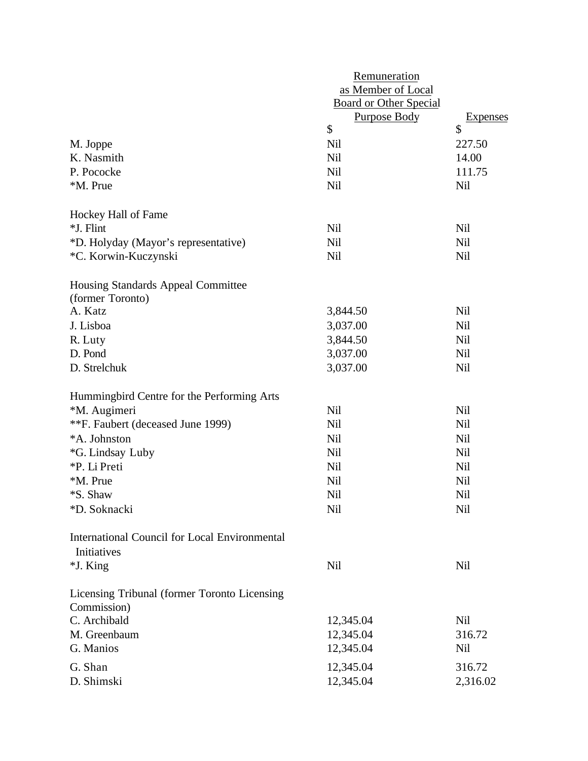|                                                                     | Remuneration           |            |  |  |
|---------------------------------------------------------------------|------------------------|------------|--|--|
|                                                                     | as Member of Local     |            |  |  |
|                                                                     | Board or Other Special |            |  |  |
|                                                                     | <b>Purpose Body</b>    | Expenses   |  |  |
|                                                                     | \$                     | \$         |  |  |
| M. Joppe                                                            | Nil                    | 227.50     |  |  |
| K. Nasmith                                                          | Nil                    | 14.00      |  |  |
| P. Pococke                                                          | <b>Nil</b>             | 111.75     |  |  |
| *M. Prue                                                            | <b>Nil</b>             | <b>Nil</b> |  |  |
| Hockey Hall of Fame                                                 |                        |            |  |  |
| *J. Flint                                                           | Nil                    | Nil        |  |  |
| *D. Holyday (Mayor's representative)                                | <b>Nil</b>             | <b>Nil</b> |  |  |
| *C. Korwin-Kuczynski                                                | <b>Nil</b>             | Nil        |  |  |
| Housing Standards Appeal Committee<br>(former Toronto)              |                        |            |  |  |
| A. Katz                                                             | 3,844.50               | Nil        |  |  |
| J. Lisboa                                                           | 3,037.00               | <b>Nil</b> |  |  |
| R. Luty                                                             | 3,844.50               | Nil        |  |  |
| D. Pond                                                             | 3,037.00               | Nil        |  |  |
| D. Strelchuk                                                        | 3,037.00               | Nil        |  |  |
| Hummingbird Centre for the Performing Arts                          |                        |            |  |  |
| *M. Augimeri                                                        | <b>Nil</b>             | <b>Nil</b> |  |  |
| **F. Faubert (deceased June 1999)                                   | Nil                    | Nil        |  |  |
| *A. Johnston                                                        | Nil                    | Nil        |  |  |
| *G. Lindsay Luby                                                    | Nil                    | Nil        |  |  |
| *P. Li Preti                                                        | Nil                    | Nil        |  |  |
| *M. Prue                                                            | Nil                    | Nil        |  |  |
| *S. Shaw                                                            | Nil                    | Nil        |  |  |
| *D. Soknacki                                                        | <b>Nil</b>             | <b>Nil</b> |  |  |
| <b>International Council for Local Environmental</b><br>Initiatives |                        |            |  |  |
| *J. King                                                            | Nil                    | Nil        |  |  |
| Licensing Tribunal (former Toronto Licensing<br>Commission)         |                        |            |  |  |
| C. Archibald                                                        | 12,345.04              | Nil        |  |  |
| M. Greenbaum                                                        | 12,345.04              | 316.72     |  |  |
| G. Manios                                                           | 12,345.04              | Nil        |  |  |
| G. Shan                                                             | 12,345.04              | 316.72     |  |  |
| D. Shimski                                                          | 12,345.04              | 2,316.02   |  |  |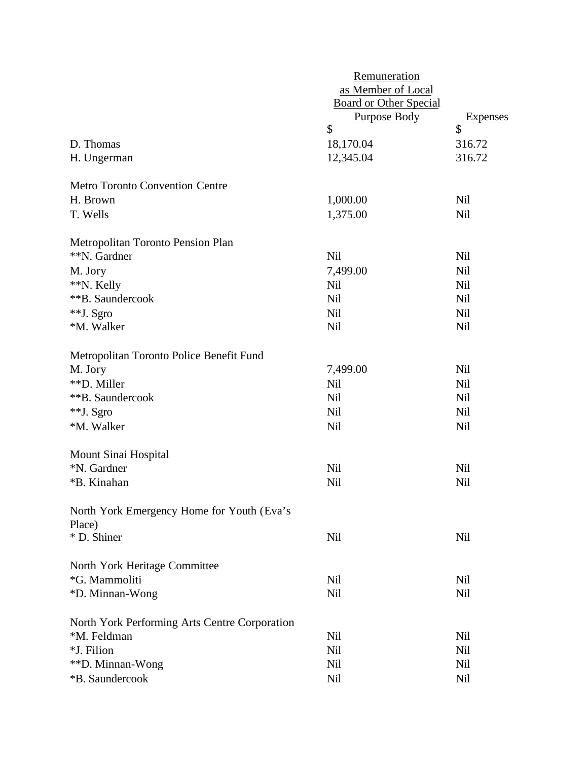|                                               | Remuneration                                        |            |  |
|-----------------------------------------------|-----------------------------------------------------|------------|--|
|                                               | as Member of Local<br><b>Board or Other Special</b> |            |  |
|                                               |                                                     |            |  |
|                                               | <b>Purpose Body</b>                                 | Expenses   |  |
|                                               | \$                                                  | \$         |  |
| D. Thomas                                     | 18,170.04                                           | 316.72     |  |
| H. Ungerman                                   | 12,345.04                                           | 316.72     |  |
| <b>Metro Toronto Convention Centre</b>        |                                                     |            |  |
| H. Brown                                      | 1,000.00                                            | Nil        |  |
| T. Wells                                      | 1,375.00                                            | <b>Nil</b> |  |
|                                               |                                                     |            |  |
| Metropolitan Toronto Pension Plan             |                                                     |            |  |
| **N. Gardner                                  | <b>Nil</b>                                          | <b>Nil</b> |  |
| M. Jory                                       | 7,499.00                                            | <b>Nil</b> |  |
| **N. Kelly                                    | <b>Nil</b>                                          | <b>Nil</b> |  |
| **B. Saundercook                              | <b>Nil</b>                                          | <b>Nil</b> |  |
| **J. Sgro                                     | <b>Nil</b>                                          | <b>Nil</b> |  |
| *M. Walker                                    | <b>Nil</b>                                          | <b>Nil</b> |  |
| Metropolitan Toronto Police Benefit Fund      |                                                     |            |  |
| M. Jory                                       | 7,499.00                                            | <b>Nil</b> |  |
| **D. Miller                                   | <b>Nil</b>                                          | <b>Nil</b> |  |
| **B. Saundercook                              | <b>Nil</b>                                          | <b>Nil</b> |  |
| **J. Sgro                                     | <b>Nil</b>                                          | Nil        |  |
| *M. Walker                                    | Nil                                                 | <b>Nil</b> |  |
| Mount Sinai Hospital                          |                                                     |            |  |
| *N. Gardner                                   | <b>Nil</b>                                          | <b>Nil</b> |  |
| *B. Kinahan                                   | <b>Nil</b>                                          | <b>Nil</b> |  |
|                                               |                                                     |            |  |
| North York Emergency Home for Youth (Eva's    |                                                     |            |  |
| Place)                                        |                                                     |            |  |
| * D. Shiner                                   | <b>Nil</b>                                          | Nil        |  |
| North York Heritage Committee                 |                                                     |            |  |
| *G. Mammoliti                                 | Nil                                                 | Nil        |  |
| *D. Minnan-Wong                               | Nil                                                 | <b>Nil</b> |  |
| North York Performing Arts Centre Corporation |                                                     |            |  |
| *M. Feldman                                   | Nil                                                 | Nil        |  |
| *J. Filion                                    | <b>Nil</b>                                          | <b>Nil</b> |  |
| **D. Minnan-Wong                              | Nil                                                 | Nil        |  |
| *B. Saundercook                               | Nil                                                 | <b>Nil</b> |  |
|                                               |                                                     |            |  |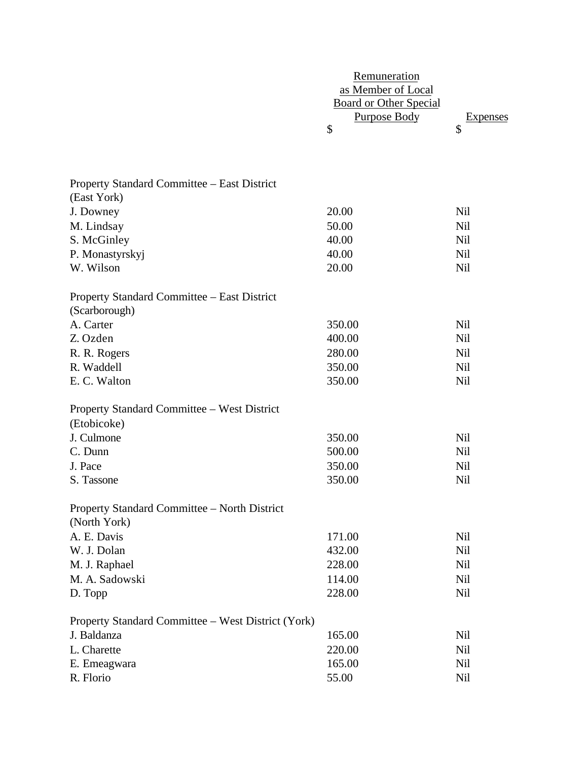|                                                    | Remuneration                  |                       |
|----------------------------------------------------|-------------------------------|-----------------------|
|                                                    | as Member of Local            |                       |
|                                                    | <b>Board or Other Special</b> |                       |
|                                                    | <b>Purpose Body</b><br>\$     | <b>Expenses</b><br>\$ |
|                                                    |                               |                       |
|                                                    |                               |                       |
|                                                    |                               |                       |
| Property Standard Committee – East District        |                               |                       |
| (East York)                                        |                               |                       |
| J. Downey                                          | 20.00                         | <b>Nil</b>            |
| M. Lindsay                                         | 50.00                         | <b>Nil</b>            |
| S. McGinley                                        | 40.00                         | Nil                   |
| P. Monastyrskyj                                    | 40.00                         | <b>Nil</b>            |
| W. Wilson                                          | 20.00                         | <b>Nil</b>            |
| Property Standard Committee - East District        |                               |                       |
| (Scarborough)                                      |                               |                       |
| A. Carter                                          | 350.00                        | <b>Nil</b>            |
| Z. Ozden                                           | 400.00                        | <b>Nil</b>            |
| R. R. Rogers                                       | 280.00                        | <b>Nil</b>            |
| R. Waddell                                         | 350.00                        | <b>Nil</b>            |
| E. C. Walton                                       | 350.00                        | <b>Nil</b>            |
|                                                    |                               |                       |
| Property Standard Committee – West District        |                               |                       |
| (Etobicoke)                                        |                               |                       |
| J. Culmone                                         | 350.00                        | <b>Nil</b>            |
| C. Dunn                                            | 500.00                        | Nil                   |
| J. Pace                                            | 350.00                        | <b>Nil</b>            |
| S. Tassone                                         | 350.00                        | Nil                   |
|                                                    |                               |                       |
| Property Standard Committee - North District       |                               |                       |
| (North York)                                       |                               |                       |
| A. E. Davis                                        | 171.00<br>432.00              | <b>Nil</b>            |
| W. J. Dolan                                        |                               | Nil                   |
| M. J. Raphael                                      | 228.00                        | <b>Nil</b>            |
| M. A. Sadowski                                     | 114.00                        | <b>Nil</b>            |
| D. Topp                                            | 228.00                        | <b>Nil</b>            |
| Property Standard Committee - West District (York) |                               |                       |
| J. Baldanza                                        | 165.00                        | Nil                   |
| L. Charette                                        | 220.00                        | Nil                   |
| E. Emeagwara                                       | 165.00                        | <b>Nil</b>            |
| R. Florio                                          | 55.00                         | Nil                   |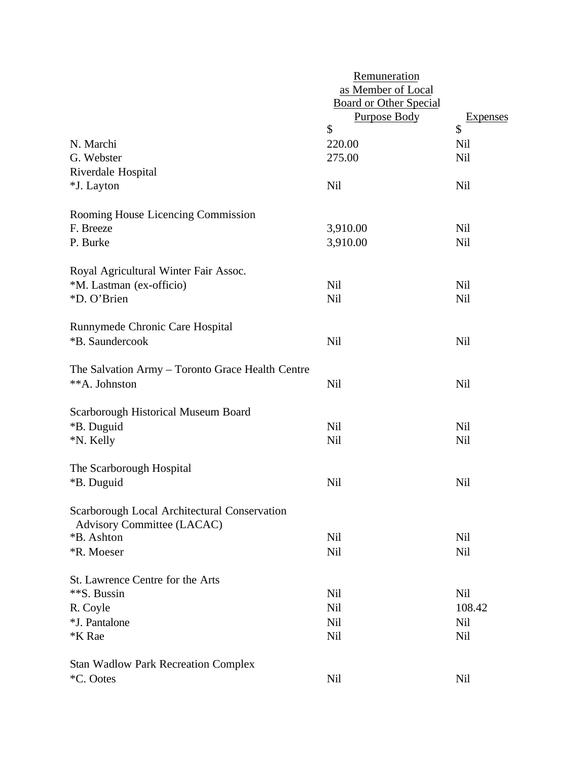|                                                                            | Remuneration<br>as Member of Local                         |                       |
|----------------------------------------------------------------------------|------------------------------------------------------------|-----------------------|
|                                                                            | <b>Board or Other Special</b><br><b>Purpose Body</b><br>\$ | <b>Expenses</b><br>\$ |
| N. Marchi                                                                  | 220.00                                                     | Nil                   |
| G. Webster                                                                 | 275.00                                                     | Nil                   |
| Riverdale Hospital                                                         |                                                            |                       |
| *J. Layton                                                                 | <b>Nil</b>                                                 | <b>Nil</b>            |
| Rooming House Licencing Commission                                         |                                                            |                       |
| F. Breeze                                                                  | 3,910.00                                                   | Nil                   |
| P. Burke                                                                   | 3,910.00                                                   | <b>Nil</b>            |
| Royal Agricultural Winter Fair Assoc.                                      |                                                            |                       |
| *M. Lastman (ex-officio)                                                   | <b>Nil</b>                                                 | <b>Nil</b>            |
| *D. O'Brien                                                                | <b>Nil</b>                                                 | <b>Nil</b>            |
| Runnymede Chronic Care Hospital                                            |                                                            |                       |
| *B. Saundercook                                                            | <b>Nil</b>                                                 | <b>Nil</b>            |
| The Salvation Army - Toronto Grace Health Centre                           |                                                            |                       |
| **A. Johnston                                                              | Nil                                                        | <b>Nil</b>            |
| Scarborough Historical Museum Board                                        |                                                            |                       |
| *B. Duguid                                                                 | <b>Nil</b>                                                 | <b>Nil</b>            |
| *N. Kelly                                                                  | <b>Nil</b>                                                 | Nil                   |
| The Scarborough Hospital                                                   |                                                            |                       |
| *B. Duguid                                                                 | Nil                                                        | Nil                   |
| Scarborough Local Architectural Conservation<br>Advisory Committee (LACAC) |                                                            |                       |
| *B. Ashton                                                                 | <b>Nil</b>                                                 | Nil                   |
| *R. Moeser                                                                 | <b>Nil</b>                                                 | <b>Nil</b>            |
| St. Lawrence Centre for the Arts                                           |                                                            |                       |
| **S. Bussin                                                                | Nil                                                        | <b>Nil</b>            |
| R. Coyle                                                                   | <b>Nil</b>                                                 | 108.42                |
| *J. Pantalone                                                              | <b>Nil</b>                                                 | <b>Nil</b>            |
| <b>*K</b> Rae                                                              | Nil                                                        | <b>Nil</b>            |
| <b>Stan Wadlow Park Recreation Complex</b>                                 |                                                            |                       |
| *C. Ootes                                                                  | Nil                                                        | Nil                   |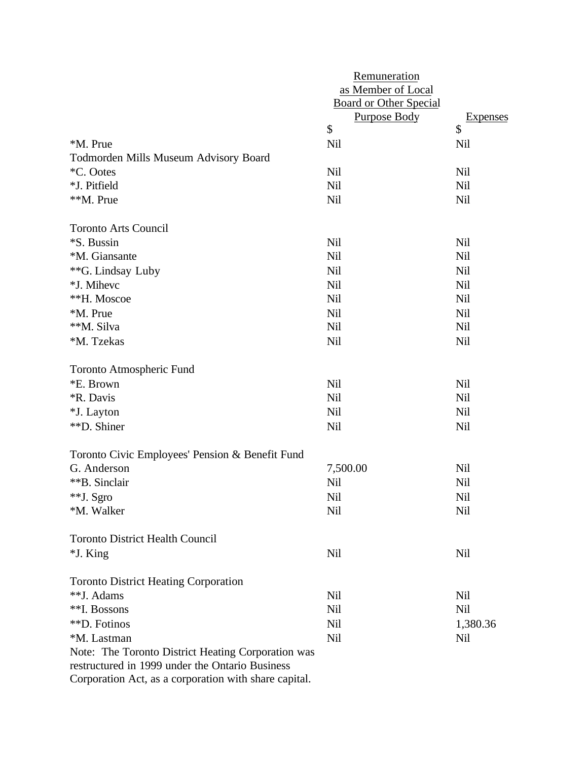|                                                           | Remuneration<br>as Member of Local<br><b>Board or Other Special</b> |            |
|-----------------------------------------------------------|---------------------------------------------------------------------|------------|
|                                                           | <b>Purpose Body</b>                                                 | Expenses   |
|                                                           | \$                                                                  | \$         |
| *M. Prue                                                  | <b>Nil</b>                                                          | Nil        |
| <b>Todmorden Mills Museum Advisory Board</b><br>*C. Ootes | <b>Nil</b>                                                          |            |
| *J. Pitfield                                              | <b>Nil</b>                                                          | Nil<br>Nil |
| **M. Prue                                                 | <b>Nil</b>                                                          | Nil        |
|                                                           |                                                                     |            |
| <b>Toronto Arts Council</b>                               |                                                                     |            |
| *S. Bussin                                                | <b>Nil</b>                                                          | Nil        |
| *M. Giansante                                             | <b>Nil</b>                                                          | Nil        |
| **G. Lindsay Luby                                         | Nil                                                                 | Nil        |
| *J. Mihevc                                                | <b>Nil</b>                                                          | Nil        |
| **H. Moscoe                                               | Nil                                                                 | Nil        |
| *M. Prue                                                  | Nil                                                                 | Nil        |
| **M. Silva                                                | <b>Nil</b>                                                          | Nil        |
| *M. Tzekas                                                | <b>Nil</b>                                                          | <b>Nil</b> |
| <b>Toronto Atmospheric Fund</b>                           |                                                                     |            |
| *E. Brown                                                 | <b>Nil</b>                                                          | Nil        |
| <i><b>*R. Davis</b></i>                                   | Nil                                                                 | Nil        |
| *J. Layton                                                | Nil                                                                 | Nil        |
| **D. Shiner                                               | <b>Nil</b>                                                          | <b>Nil</b> |
| Toronto Civic Employees' Pension & Benefit Fund           |                                                                     |            |
| G. Anderson                                               | 7,500.00                                                            | <b>Nil</b> |
| **B. Sinclair                                             | Nil                                                                 | Nil        |
| **J. Sgro                                                 | Nil                                                                 | Nil        |
| *M. Walker                                                | Nil                                                                 | Nil        |
| <b>Toronto District Health Council</b>                    |                                                                     |            |
| *J. King                                                  | Nil                                                                 | Nil        |
| <b>Toronto District Heating Corporation</b>               |                                                                     |            |
| **J. Adams                                                | Nil                                                                 | Nil        |
| **I. Bossons                                              | <b>Nil</b>                                                          | <b>Nil</b> |
| **D. Fotinos                                              | Nil                                                                 | 1,380.36   |
| *M. Lastman                                               | Nil                                                                 | Nil        |
| Note: The Toronto District Heating Corporation was        |                                                                     |            |
| restructured in 1999 under the Ontario Business           |                                                                     |            |

Corporation Act, as a corporation with share capital.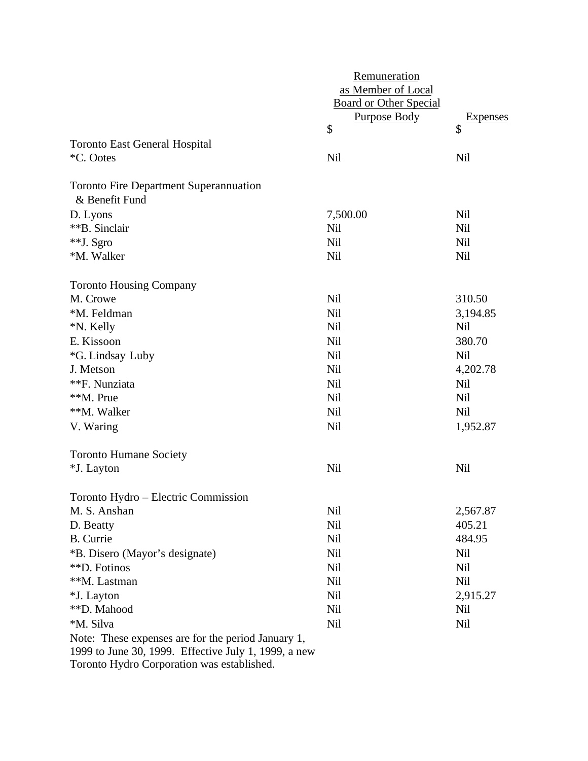|                                                      | Remuneration                  |            |
|------------------------------------------------------|-------------------------------|------------|
|                                                      | as Member of Local            |            |
|                                                      | <b>Board or Other Special</b> |            |
|                                                      | <b>Purpose Body</b>           | Expenses   |
|                                                      | \$                            | \$         |
| <b>Toronto East General Hospital</b>                 |                               |            |
| *C. Ootes                                            | <b>Nil</b>                    | Nil        |
| <b>Toronto Fire Department Superannuation</b>        |                               |            |
| & Benefit Fund                                       |                               |            |
| D. Lyons                                             | 7,500.00                      | <b>Nil</b> |
| **B. Sinclair                                        | Nil                           | Nil        |
| **J. Sgro                                            | <b>Nil</b>                    | <b>Nil</b> |
| *M. Walker                                           | Nil                           | Nil        |
| <b>Toronto Housing Company</b>                       |                               |            |
| M. Crowe                                             | <b>Nil</b>                    | 310.50     |
| *M. Feldman                                          | <b>Nil</b>                    | 3,194.85   |
| *N. Kelly                                            | <b>Nil</b>                    | Nil        |
| E. Kissoon                                           | <b>Nil</b>                    | 380.70     |
| *G. Lindsay Luby                                     | <b>Nil</b>                    | <b>Nil</b> |
| J. Metson                                            | <b>Nil</b>                    | 4,202.78   |
| **F. Nunziata                                        | <b>Nil</b>                    | Nil        |
| **M. Prue                                            | <b>Nil</b>                    | <b>Nil</b> |
| **M. Walker                                          | <b>Nil</b>                    | <b>Nil</b> |
| V. Waring                                            | <b>Nil</b>                    | 1,952.87   |
| <b>Toronto Humane Society</b>                        |                               |            |
| *J. Layton                                           | <b>Nil</b>                    | <b>Nil</b> |
| Toronto Hydro – Electric Commission                  |                               |            |
| M. S. Anshan                                         | Nil                           | 2,567.87   |
| D. Beatty                                            | Nil                           | 405.21     |
| <b>B.</b> Currie                                     | Nil                           | 484.95     |
| *B. Disero (Mayor's designate)                       | Nil                           | Nil        |
| **D. Fotinos                                         | <b>Nil</b>                    | Nil        |
| **M. Lastman                                         | Nil                           | <b>Nil</b> |
| *J. Layton                                           | Nil                           | 2,915.27   |
| **D. Mahood                                          | Nil                           | Nil        |
| *M. Silva                                            | <b>Nil</b>                    | Nil        |
| Note: These expenses are for the period January 1,   |                               |            |
| 1999 to June 30, 1999. Effective July 1, 1999, a new |                               |            |

Toronto Hydro Corporation was established.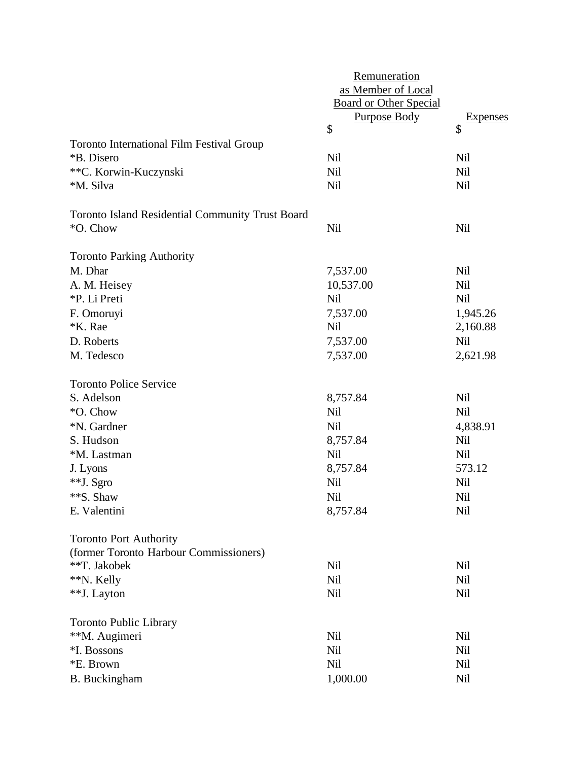|                                                  | Remuneration                  |                 |
|--------------------------------------------------|-------------------------------|-----------------|
|                                                  | as Member of Local            |                 |
|                                                  | <b>Board or Other Special</b> |                 |
|                                                  | <b>Purpose Body</b>           | <b>Expenses</b> |
|                                                  | \$                            | \$              |
| <b>Toronto International Film Festival Group</b> |                               |                 |
| *B. Disero                                       | <b>Nil</b>                    | <b>Nil</b>      |
| **C. Korwin-Kuczynski                            | <b>Nil</b>                    | <b>Nil</b>      |
| *M. Silva                                        | <b>Nil</b>                    | <b>Nil</b>      |
| Toronto Island Residential Community Trust Board |                               |                 |
| *O. Chow                                         | Nil                           | Nil             |
| <b>Toronto Parking Authority</b>                 |                               |                 |
| M. Dhar                                          | 7,537.00                      | Nil             |
| A. M. Heisey                                     | 10,537.00                     | <b>Nil</b>      |
| *P. Li Preti                                     | <b>Nil</b>                    | Nil             |
| F. Omoruyi                                       | 7,537.00                      | 1,945.26        |
| *K. Rae                                          | <b>Nil</b>                    | 2,160.88        |
| D. Roberts                                       | 7,537.00                      | <b>Nil</b>      |
| M. Tedesco                                       | 7,537.00                      | 2,621.98        |
| <b>Toronto Police Service</b>                    |                               |                 |
| S. Adelson                                       | 8,757.84                      | <b>Nil</b>      |
| *O. Chow                                         | <b>Nil</b>                    | <b>Nil</b>      |
| *N. Gardner                                      | <b>Nil</b>                    | 4,838.91        |
| S. Hudson                                        | 8,757.84                      | <b>Nil</b>      |
| *M. Lastman                                      | <b>Nil</b>                    | <b>Nil</b>      |
| J. Lyons                                         | 8,757.84                      | 573.12          |
| **J. Sgro                                        | Nil                           | Nil             |
| **S. Shaw                                        | Nil                           | Nil             |
| E. Valentini                                     | 8,757.84                      | Nil             |
| <b>Toronto Port Authority</b>                    |                               |                 |
| (former Toronto Harbour Commissioners)           |                               |                 |
| **T. Jakobek                                     | <b>Nil</b>                    | <b>Nil</b>      |
| **N. Kelly                                       | Nil                           | <b>Nil</b>      |
| **J. Layton                                      | <b>Nil</b>                    | Nil             |
| <b>Toronto Public Library</b>                    |                               |                 |
| **M. Augimeri                                    | Nil                           | Nil             |
| *I. Bossons                                      | <b>Nil</b>                    | <b>Nil</b>      |
| *E. Brown                                        | <b>Nil</b>                    | Nil             |
| B. Buckingham                                    | 1,000.00                      | Nil             |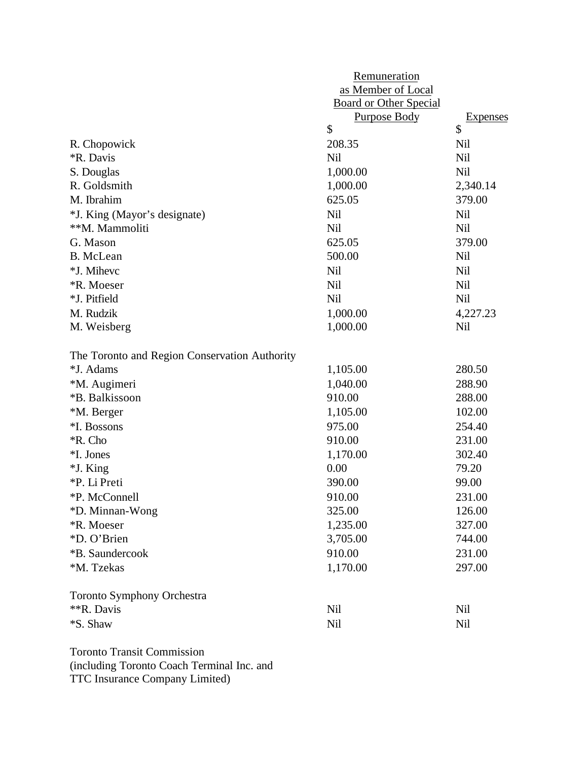|                                               | Remuneration                  |                 |
|-----------------------------------------------|-------------------------------|-----------------|
|                                               | as Member of Local            |                 |
|                                               | <b>Board or Other Special</b> |                 |
|                                               | <b>Purpose Body</b>           | <b>Expenses</b> |
|                                               | \$                            | \$              |
| R. Chopowick                                  | 208.35                        | Nil             |
| <i><b>*R. Davis</b></i>                       | <b>Nil</b>                    | Nil             |
| S. Douglas                                    | 1,000.00                      | <b>Nil</b>      |
| R. Goldsmith                                  | 1,000.00                      | 2,340.14        |
| M. Ibrahim                                    | 625.05                        | 379.00          |
| *J. King (Mayor's designate)                  | <b>Nil</b>                    | <b>Nil</b>      |
| **M. Mammoliti                                | <b>Nil</b>                    | <b>Nil</b>      |
| G. Mason                                      | 625.05                        | 379.00          |
| <b>B.</b> McLean                              | 500.00                        | Nil             |
| *J. Mihevc                                    | <b>Nil</b>                    | Nil             |
| <b>*R.</b> Moeser                             | <b>Nil</b>                    | Nil             |
| *J. Pitfield                                  | <b>Nil</b>                    | <b>Nil</b>      |
| M. Rudzik                                     | 1,000.00                      | 4,227.23        |
| M. Weisberg                                   | 1,000.00                      | Nil             |
| The Toronto and Region Conservation Authority |                               |                 |
| *J. Adams                                     | 1,105.00                      | 280.50          |
| *M. Augimeri                                  | 1,040.00                      | 288.90          |
| *B. Balkissoon                                | 910.00                        | 288.00          |
| *M. Berger                                    | 1,105.00                      | 102.00          |
| *I. Bossons                                   | 975.00                        | 254.40          |
| *R. Cho                                       | 910.00                        | 231.00          |
| *I. Jones                                     | 1,170.00                      | 302.40          |
| *J. King                                      | 0.00                          | 79.20           |
| *P. Li Preti                                  | 390.00                        | 99.00           |
| *P. McConnell                                 | 910.00                        | 231.00          |
| *D. Minnan-Wong                               | 325.00                        | 126.00          |
| *R. Moeser                                    | 1,235.00                      | 327.00          |
| *D. O'Brien                                   | 3,705.00                      | 744.00          |
| *B. Saundercook                               | 910.00                        | 231.00          |
| *M. Tzekas                                    | 1,170.00                      | 297.00          |
| <b>Toronto Symphony Orchestra</b>             |                               |                 |
| **R. Davis                                    | <b>Nil</b>                    | Nil             |
| *S. Shaw                                      | <b>Nil</b>                    | Nil             |
|                                               |                               |                 |

Toronto Transit Commission (including Toronto Coach Terminal Inc. and TTC Insurance Company Limited)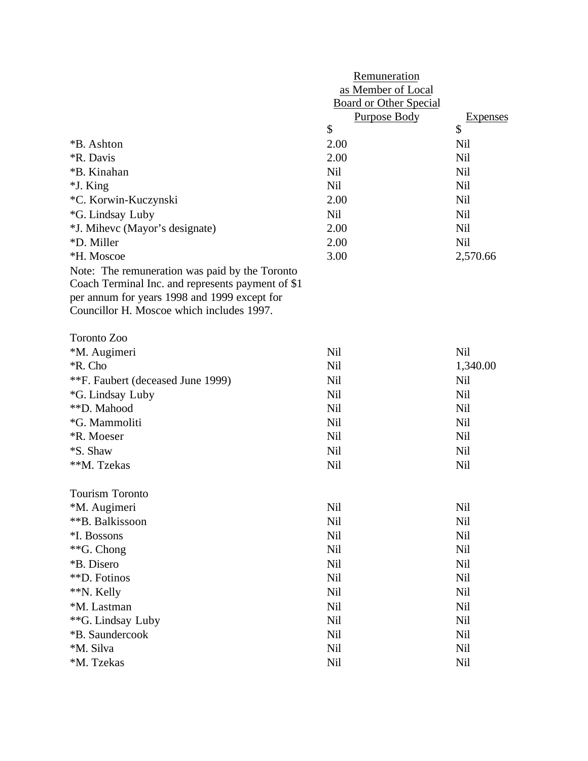|                                                   | Remuneration                  |                 |  |
|---------------------------------------------------|-------------------------------|-----------------|--|
|                                                   | as Member of Local            |                 |  |
|                                                   | <b>Board or Other Special</b> |                 |  |
|                                                   | <b>Purpose Body</b>           | <b>Expenses</b> |  |
|                                                   | \$                            | \$              |  |
| <i><b>*B.</b></i> Ashton                          | 2.00                          | Nil             |  |
| <i><b>*R. Davis</b></i>                           | 2.00                          | <b>Nil</b>      |  |
| *B. Kinahan                                       | <b>Nil</b>                    | <b>Nil</b>      |  |
| *J. King                                          | <b>Nil</b>                    | <b>Nil</b>      |  |
| *C. Korwin-Kuczynski                              | 2.00                          | Nil             |  |
| *G. Lindsay Luby                                  | <b>Nil</b>                    | <b>Nil</b>      |  |
| *J. Mihevc (Mayor's designate)                    | 2.00                          | <b>Nil</b>      |  |
| *D. Miller                                        | 2.00                          | <b>Nil</b>      |  |
| *H. Moscoe                                        | 3.00                          | 2,570.66        |  |
| Note: The remuneration was paid by the Toronto    |                               |                 |  |
| Coach Terminal Inc. and represents payment of \$1 |                               |                 |  |
| per annum for years 1998 and 1999 except for      |                               |                 |  |
| Councillor H. Moscoe which includes 1997.         |                               |                 |  |
| <b>Toronto Zoo</b>                                |                               |                 |  |
| *M. Augimeri                                      | <b>Nil</b>                    | <b>Nil</b>      |  |
| *R. Cho                                           | <b>Nil</b>                    | 1,340.00        |  |
|                                                   | <b>Nil</b>                    | <b>Nil</b>      |  |
| **F. Faubert (deceased June 1999)                 |                               |                 |  |
| *G. Lindsay Luby<br>**D. Mahood                   | <b>Nil</b>                    | <b>Nil</b>      |  |
|                                                   | <b>Nil</b>                    | <b>Nil</b>      |  |
| *G. Mammoliti                                     | <b>Nil</b>                    | <b>Nil</b>      |  |
| <i><b>*R. Moeser</b></i>                          | Nil                           | <b>Nil</b>      |  |
| *S. Shaw                                          | Nil                           | Nil             |  |
| **M. Tzekas                                       | <b>Nil</b>                    | <b>Nil</b>      |  |
| Tourism Toronto                                   |                               |                 |  |
| *M. Augimeri                                      | Nil                           | Nil             |  |
| **B. Balkissoon                                   | Nil                           | Nil             |  |
| *I. Bossons                                       | Nil                           | Nil             |  |
| **G. Chong                                        | Nil                           | Nil             |  |
| *B. Disero                                        | Nil                           | Nil             |  |
| **D. Fotinos                                      | Nil                           | Nil             |  |
| **N. Kelly                                        | Nil                           | Nil             |  |
| *M. Lastman                                       | Nil                           | Nil             |  |
| ** G. Lindsay Luby                                | Nil                           | Nil             |  |
| *B. Saundercook                                   | Nil                           | Nil             |  |
| *M. Silva                                         | Nil                           | Nil             |  |
| *M. Tzekas                                        | Nil                           | Nil             |  |
|                                                   |                               |                 |  |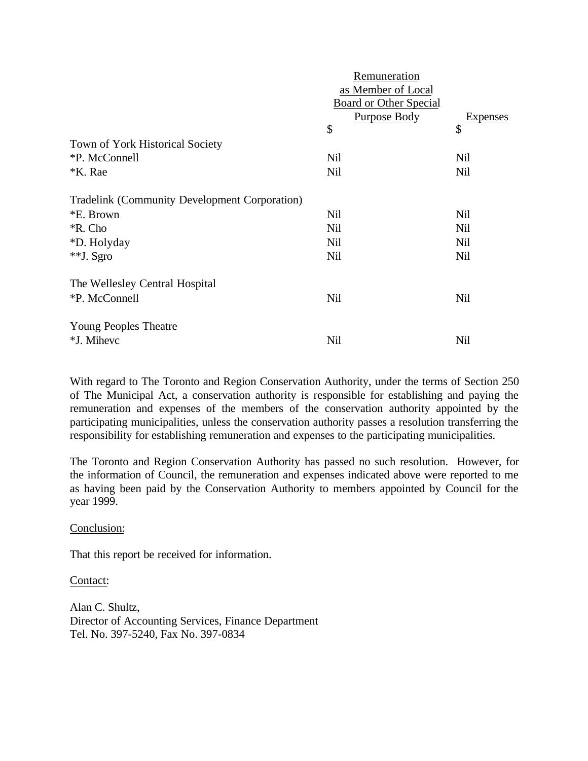|                                                      | Remuneration                  |                 |  |  |
|------------------------------------------------------|-------------------------------|-----------------|--|--|
|                                                      | as Member of Local            |                 |  |  |
|                                                      | <b>Board or Other Special</b> |                 |  |  |
|                                                      | <b>Purpose Body</b>           | <b>Expenses</b> |  |  |
|                                                      | \$                            | \$              |  |  |
| Town of York Historical Society                      |                               |                 |  |  |
| *P. McConnell                                        | Nil                           | Nil             |  |  |
| <i><b>*K.</b></i> Rae                                | Nil                           | Nil             |  |  |
| <b>Tradelink (Community Development Corporation)</b> |                               |                 |  |  |
| *E. Brown                                            | Nil                           | Nil             |  |  |
| *R. Cho                                              | Nil                           | Nil             |  |  |
| *D. Holyday                                          | <b>Nil</b>                    | Nil             |  |  |
| **J. Sgro                                            | <b>Nil</b>                    | Nil             |  |  |
| The Wellesley Central Hospital                       |                               |                 |  |  |
| *P. McConnell                                        | Nil                           | Nil             |  |  |
| <b>Young Peoples Theatre</b>                         |                               |                 |  |  |
| *J. Mihevc                                           | Nil                           | <b>Nil</b>      |  |  |

With regard to The Toronto and Region Conservation Authority, under the terms of Section 250 of The Municipal Act, a conservation authority is responsible for establishing and paying the remuneration and expenses of the members of the conservation authority appointed by the participating municipalities, unless the conservation authority passes a resolution transferring the responsibility for establishing remuneration and expenses to the participating municipalities.

The Toronto and Region Conservation Authority has passed no such resolution. However, for the information of Council, the remuneration and expenses indicated above were reported to me as having been paid by the Conservation Authority to members appointed by Council for the year 1999.

Conclusion:

That this report be received for information.

Contact:

Alan C. Shultz, Director of Accounting Services, Finance Department Tel. No. 397-5240, Fax No. 397-0834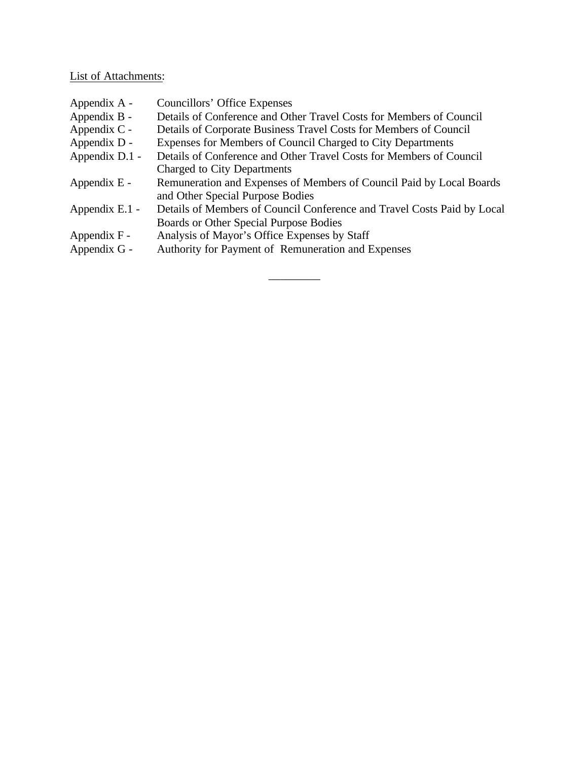# List of Attachments:

| Appendix A -   | Councillors' Office Expenses                                                                             |
|----------------|----------------------------------------------------------------------------------------------------------|
| Appendix B -   | Details of Conference and Other Travel Costs for Members of Council                                      |
| Appendix $C -$ | Details of Corporate Business Travel Costs for Members of Council                                        |
| Appendix D -   | Expenses for Members of Council Charged to City Departments                                              |
| Appendix D.1 - | Details of Conference and Other Travel Costs for Members of Council                                      |
|                | Charged to City Departments                                                                              |
| Appendix $E -$ | Remuneration and Expenses of Members of Council Paid by Local Boards<br>and Other Special Purpose Bodies |
| Appendix E.1 - | Details of Members of Council Conference and Travel Costs Paid by Local                                  |
|                | Boards or Other Special Purpose Bodies                                                                   |
| Appendix F -   | Analysis of Mayor's Office Expenses by Staff                                                             |
| Appendix G -   | Authority for Payment of Remuneration and Expenses                                                       |
|                |                                                                                                          |

\_\_\_\_\_\_\_\_\_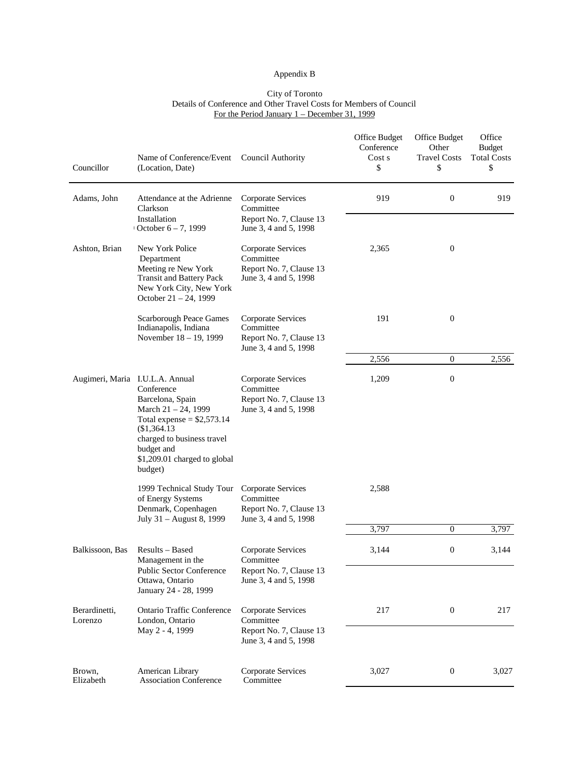#### Appendix B

#### City of Toronto Details of Conference and Other Travel Costs for Members of Council For the Period January 1 – December 31, 1999

| Councillor               | Name of Conference/Event<br>(Location, Date)                                                                                                                                                                                 | Council Authority                                                                   | Office Budget<br>Conference<br>Cost s<br>\$ | Office Budget<br>Other<br><b>Travel Costs</b><br>\$ | Office<br><b>Budget</b><br><b>Total Costs</b><br>\$ |
|--------------------------|------------------------------------------------------------------------------------------------------------------------------------------------------------------------------------------------------------------------------|-------------------------------------------------------------------------------------|---------------------------------------------|-----------------------------------------------------|-----------------------------------------------------|
| Adams, John              | Attendance at the Adrienne<br>Clarkson<br>Installation                                                                                                                                                                       | Corporate Services<br>Committee<br>Report No. 7, Clause 13                          | 919                                         | $\mathbf{0}$                                        | 919                                                 |
|                          | October $6 - 7$ , 1999                                                                                                                                                                                                       | June 3, 4 and 5, 1998                                                               |                                             |                                                     |                                                     |
| Ashton, Brian            | New York Police<br>Department<br>Meeting re New York<br><b>Transit and Battery Pack</b><br>New York City, New York<br>October $21 - 24$ , 1999                                                                               | Corporate Services<br>Committee<br>Report No. 7, Clause 13<br>June 3, 4 and 5, 1998 | 2,365                                       | $\boldsymbol{0}$                                    |                                                     |
|                          | <b>Scarborough Peace Games</b><br>Indianapolis, Indiana<br>November 18 - 19, 1999                                                                                                                                            | Corporate Services<br>Committee<br>Report No. 7, Clause 13<br>June 3, 4 and 5, 1998 | 191                                         | $\boldsymbol{0}$                                    |                                                     |
|                          |                                                                                                                                                                                                                              |                                                                                     | 2,556                                       | $\boldsymbol{0}$                                    | 2,556                                               |
|                          | Augimeri, Maria I.U.L.A. Annual<br>Conference<br>Barcelona, Spain<br>March 21 - 24, 1999<br>Total expense = $$2,573.14$<br>\$1,364.13<br>charged to business travel<br>budget and<br>\$1,209.01 charged to global<br>budget) | Corporate Services<br>Committee<br>Report No. 7, Clause 13<br>June 3, 4 and 5, 1998 | 1,209                                       | $\boldsymbol{0}$                                    |                                                     |
|                          | 1999 Technical Study Tour<br>of Energy Systems<br>Denmark, Copenhagen<br>July 31 - August 8, 1999                                                                                                                            | Corporate Services<br>Committee<br>Report No. 7, Clause 13<br>June 3, 4 and 5, 1998 | 2,588                                       |                                                     |                                                     |
|                          |                                                                                                                                                                                                                              |                                                                                     | 3,797                                       | $\mathbf{0}$                                        | 3,797                                               |
| Balkissoon, Bas          | Results - Based<br>Management in the<br>Public Sector Conference                                                                                                                                                             | Corporate Services<br>Committee<br>Report No. 7, Clause 13                          | 3,144                                       | 0                                                   | 3,144                                               |
|                          | Ottawa, Ontario<br>January 24 - 28, 1999                                                                                                                                                                                     | June 3, 4 and 5, 1998                                                               |                                             |                                                     |                                                     |
| Berardinetti,<br>Lorenzo | Ontario Traffic Conference<br>London, Ontario<br>May 2 - 4, 1999                                                                                                                                                             | Corporate Services<br>Committee<br>Report No. 7, Clause 13<br>June 3, 4 and 5, 1998 | 217                                         | $\boldsymbol{0}$                                    | 217                                                 |
| Brown,<br>Elizabeth      | American Library<br><b>Association Conference</b>                                                                                                                                                                            | Corporate Services<br>Committee                                                     | 3,027                                       | $\boldsymbol{0}$                                    | 3,027                                               |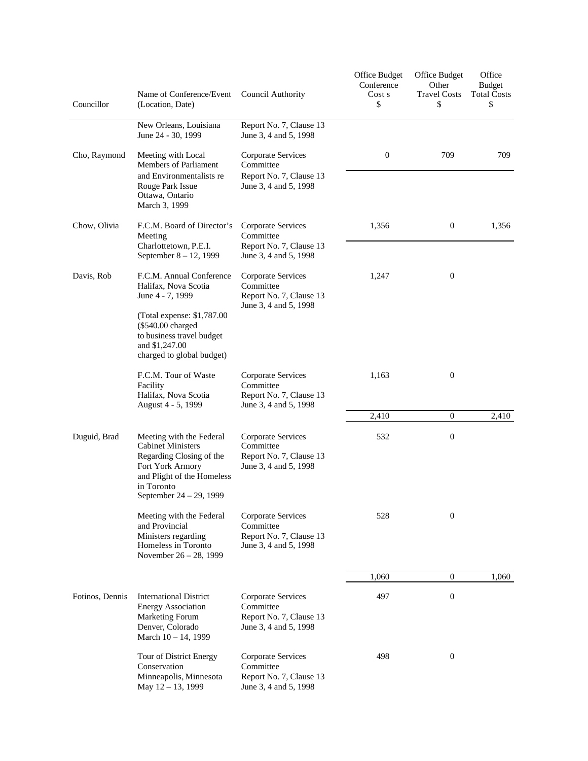| Councillor      | Name of Conference/Event<br>(Location, Date)                                                                                                                                                         | Council Authority                                                                   | Office Budget<br>Conference<br>Cost s<br>\$ | Office Budget<br>Other<br><b>Travel Costs</b><br>\$ | Office<br><b>Budget</b><br><b>Total Costs</b><br>\$ |
|-----------------|------------------------------------------------------------------------------------------------------------------------------------------------------------------------------------------------------|-------------------------------------------------------------------------------------|---------------------------------------------|-----------------------------------------------------|-----------------------------------------------------|
|                 | New Orleans, Louisiana<br>June 24 - 30, 1999                                                                                                                                                         | Report No. 7, Clause 13<br>June 3, 4 and 5, 1998                                    |                                             |                                                     |                                                     |
| Cho, Raymond    | Meeting with Local<br>Members of Parliament<br>and Environmentalists re<br>Rouge Park Issue<br>Ottawa, Ontario<br>March 3, 1999                                                                      | Corporate Services<br>Committee<br>Report No. 7, Clause 13<br>June 3, 4 and 5, 1998 | $\mathbf{0}$                                | 709                                                 | 709                                                 |
| Chow, Olivia    | F.C.M. Board of Director's<br>Meeting<br>Charlottetown, P.E.I.<br>September 8 - 12, 1999                                                                                                             | Corporate Services<br>Committee<br>Report No. 7, Clause 13<br>June 3, 4 and 5, 1998 | 1,356                                       | $\boldsymbol{0}$                                    | 1,356                                               |
| Davis, Rob      | F.C.M. Annual Conference<br>Halifax, Nova Scotia<br>June 4 - 7, 1999<br>(Total expense: \$1,787.00)<br>(\$540.00 charged<br>to business travel budget<br>and \$1,247.00<br>charged to global budget) | Corporate Services<br>Committee<br>Report No. 7, Clause 13<br>June 3, 4 and 5, 1998 | 1,247                                       | $\boldsymbol{0}$                                    |                                                     |
|                 | F.C.M. Tour of Waste<br>Facility<br>Halifax, Nova Scotia<br>August 4 - 5, 1999                                                                                                                       | Corporate Services<br>Committee<br>Report No. 7, Clause 13<br>June 3, 4 and 5, 1998 | 1,163                                       | $\boldsymbol{0}$                                    |                                                     |
|                 |                                                                                                                                                                                                      |                                                                                     | 2,410                                       | $\boldsymbol{0}$                                    | 2,410                                               |
| Duguid, Brad    | Meeting with the Federal<br><b>Cabinet Ministers</b><br>Regarding Closing of the<br>Fort York Armory<br>and Plight of the Homeless<br>in Toronto<br>September 24 – 29, 1999                          | Corporate Services<br>Committee<br>Report No. 7, Clause 13<br>June 3, 4 and 5, 1998 | 532                                         | $\boldsymbol{0}$                                    |                                                     |
|                 | Meeting with the Federal<br>and Provincial<br>Ministers regarding<br>Homeless in Toronto<br>November 26 - 28, 1999                                                                                   | Corporate Services<br>Committee<br>Report No. 7, Clause 13<br>June 3, 4 and 5, 1998 | 528                                         | $\boldsymbol{0}$                                    |                                                     |
|                 |                                                                                                                                                                                                      |                                                                                     | 1,060                                       | $\overline{0}$                                      | 1,060                                               |
| Fotinos, Dennis | <b>International District</b><br><b>Energy Association</b><br>Marketing Forum<br>Denver, Colorado<br>March 10 - 14, 1999                                                                             | Corporate Services<br>Committee<br>Report No. 7, Clause 13<br>June 3, 4 and 5, 1998 | 497                                         | $\boldsymbol{0}$                                    |                                                     |
|                 | Tour of District Energy<br>Conservation<br>Minneapolis, Minnesota<br>May 12 - 13, 1999                                                                                                               | Corporate Services<br>Committee<br>Report No. 7, Clause 13<br>June 3, 4 and 5, 1998 | 498                                         | $\boldsymbol{0}$                                    |                                                     |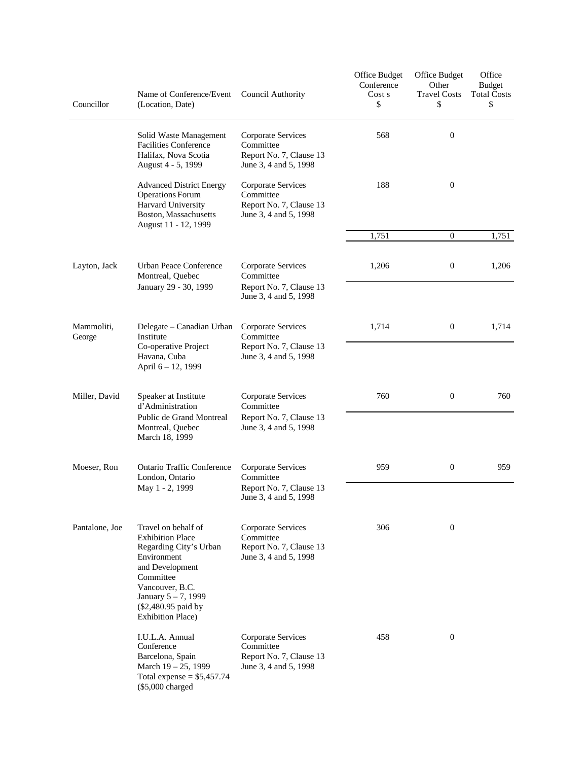| Councillor           | Name of Conference/Event<br>(Location, Date)                                                                                                                                                                        | Council Authority                                                                   | Office Budget<br>Conference<br>Cost s<br>\$ | Office Budget<br>Other<br><b>Travel Costs</b><br>\$ | Office<br><b>Budget</b><br><b>Total Costs</b><br>\$ |
|----------------------|---------------------------------------------------------------------------------------------------------------------------------------------------------------------------------------------------------------------|-------------------------------------------------------------------------------------|---------------------------------------------|-----------------------------------------------------|-----------------------------------------------------|
|                      | Solid Waste Management<br><b>Facilities Conference</b><br>Halifax, Nova Scotia<br>August 4 - 5, 1999                                                                                                                | Corporate Services<br>Committee<br>Report No. 7, Clause 13<br>June 3, 4 and 5, 1998 | 568                                         | $\boldsymbol{0}$                                    |                                                     |
|                      | <b>Advanced District Energy</b><br><b>Operations Forum</b><br>Harvard University<br>Boston, Massachusetts<br>August 11 - 12, 1999                                                                                   | Corporate Services<br>Committee<br>Report No. 7, Clause 13<br>June 3, 4 and 5, 1998 | 188                                         | $\boldsymbol{0}$                                    |                                                     |
|                      |                                                                                                                                                                                                                     |                                                                                     | 1,751                                       | $\overline{0}$                                      | 1,751                                               |
| Layton, Jack         | <b>Urban Peace Conference</b><br>Montreal, Quebec<br>January 29 - 30, 1999                                                                                                                                          | Corporate Services<br>Committee<br>Report No. 7, Clause 13<br>June 3, 4 and 5, 1998 | 1,206                                       | $\boldsymbol{0}$                                    | 1,206                                               |
|                      |                                                                                                                                                                                                                     |                                                                                     |                                             |                                                     |                                                     |
| Mammoliti,<br>George | Delegate – Canadian Urban<br>Institute<br>Co-operative Project<br>Havana, Cuba                                                                                                                                      | Corporate Services<br>Committee<br>Report No. 7, Clause 13<br>June 3, 4 and 5, 1998 | 1,714                                       | $\boldsymbol{0}$                                    | 1,714                                               |
|                      | April 6 – 12, 1999                                                                                                                                                                                                  |                                                                                     |                                             |                                                     |                                                     |
| Miller, David        | Speaker at Institute<br>d'Administration<br>Public de Grand Montreal<br>Montreal, Quebec<br>March 18, 1999                                                                                                          | Corporate Services<br>Committee<br>Report No. 7, Clause 13<br>June 3, 4 and 5, 1998 | 760                                         | $\boldsymbol{0}$                                    | 760                                                 |
| Moeser, Ron          | <b>Ontario Traffic Conference</b><br>London, Ontario<br>May 1 - 2, 1999                                                                                                                                             | Corporate Services<br>Committee<br>Report No. 7, Clause 13<br>June 3, 4 and 5, 1998 | 959                                         | $\boldsymbol{0}$                                    | 959                                                 |
| Pantalone, Joe       | Travel on behalf of<br><b>Exhibition Place</b><br>Regarding City's Urban<br>Environment<br>and Development<br>Committee<br>Vancouver, B.C.<br>January 5-7, 1999<br>(\$2,480.95 paid by<br><b>Exhibition Place</b> ) | Corporate Services<br>Committee<br>Report No. 7, Clause 13<br>June 3, 4 and 5, 1998 | 306                                         | $\boldsymbol{0}$                                    |                                                     |
|                      | I.U.L.A. Annual<br>Conference<br>Barcelona, Spain<br>March $19 - 25$ , 1999<br>Total expense = $$5,457.74$<br>(\$5,000 charged                                                                                      | Corporate Services<br>Committee<br>Report No. 7, Clause 13<br>June 3, 4 and 5, 1998 | 458                                         | $\mathbf{0}$                                        |                                                     |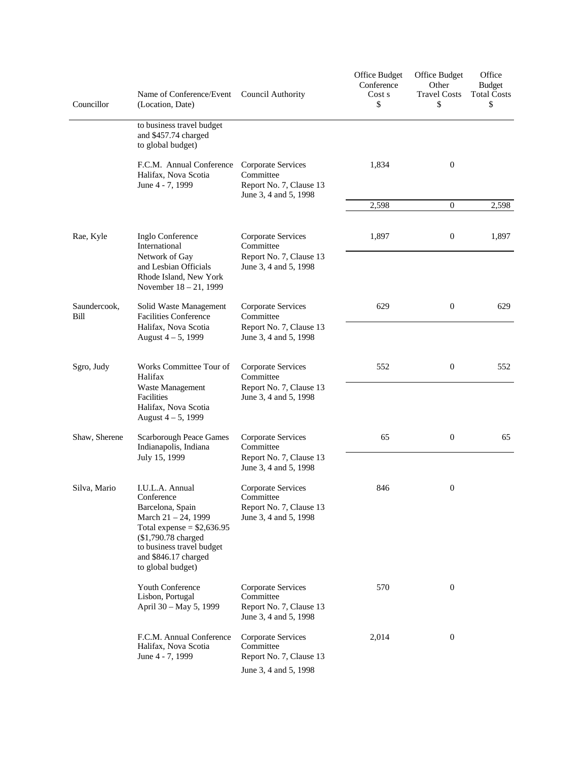| Councillor           | Name of Conference/Event<br>(Location, Date)                                                                          | Council Authority                                                                   | Office Budget<br>Conference<br>Cost s<br>\$ | Office Budget<br>Other<br><b>Travel Costs</b><br>\$ | Office<br><b>Budget</b><br><b>Total Costs</b><br>\$ |
|----------------------|-----------------------------------------------------------------------------------------------------------------------|-------------------------------------------------------------------------------------|---------------------------------------------|-----------------------------------------------------|-----------------------------------------------------|
|                      | to business travel budget<br>and \$457.74 charged<br>to global budget)                                                |                                                                                     |                                             |                                                     |                                                     |
|                      | F.C.M. Annual Conference<br>Halifax, Nova Scotia<br>June 4 - 7, 1999                                                  | Corporate Services<br>Committee<br>Report No. 7, Clause 13                          | 1,834                                       | $\overline{0}$                                      |                                                     |
|                      |                                                                                                                       | June 3, 4 and 5, 1998                                                               | 2,598                                       | $\mathbf{0}$                                        | 2,598                                               |
|                      |                                                                                                                       |                                                                                     |                                             |                                                     |                                                     |
| Rae, Kyle            | Inglo Conference<br>International<br>Network of Gay<br>and Lesbian Officials<br>Rhode Island, New York                | Corporate Services<br>Committee<br>Report No. 7, Clause 13<br>June 3, 4 and 5, 1998 | 1,897                                       | $\boldsymbol{0}$                                    | 1,897                                               |
|                      | November 18 – 21, 1999                                                                                                |                                                                                     |                                             |                                                     |                                                     |
| Saundercook,<br>Bill | Solid Waste Management<br><b>Facilities Conference</b>                                                                | Corporate Services<br>Committee                                                     | 629                                         | $\mathbf{0}$                                        | 629                                                 |
|                      | Halifax, Nova Scotia<br>August $4 - 5$ , 1999                                                                         | Report No. 7, Clause 13<br>June 3, 4 and 5, 1998                                    |                                             |                                                     |                                                     |
| Sgro, Judy           | Works Committee Tour of<br>Halifax<br>Waste Management<br>Facilities<br>Halifax, Nova Scotia<br>August $4 - 5$ , 1999 | Corporate Services<br>Committee                                                     | 552                                         | $\mathbf{0}$                                        | 552                                                 |
|                      |                                                                                                                       | Report No. 7, Clause 13<br>June 3, 4 and 5, 1998                                    |                                             |                                                     |                                                     |
| Shaw, Sherene        | Scarborough Peace Games<br>Indianapolis, Indiana<br>July 15, 1999                                                     | Corporate Services<br>Committee<br>Report No. 7, Clause 13                          | 65                                          | $\mathbf{0}$                                        | 65                                                  |
|                      |                                                                                                                       | June 3, 4 and 5, 1998                                                               |                                             |                                                     |                                                     |
| Silva, Mario         | I.U.L.A. Annual<br>Conference<br>Barcelona, Spain<br>March 21 - 24, 1999<br>Total expense = $$2,636.95$               | Corporate Services<br>Committee<br>Report No. 7, Clause 13<br>June 3, 4 and 5, 1998 | 846                                         | $\mathbf{0}$                                        |                                                     |
|                      | (\$1,790.78 charged<br>to business travel budget<br>and \$846.17 charged<br>to global budget)                         |                                                                                     |                                             |                                                     |                                                     |
|                      | Youth Conference<br>Lisbon, Portugal                                                                                  | Corporate Services<br>Committee                                                     | 570                                         | $\mathbf{0}$                                        |                                                     |
|                      | April 30 - May 5, 1999                                                                                                | Report No. 7, Clause 13<br>June 3, 4 and 5, 1998                                    |                                             |                                                     |                                                     |
|                      | F.C.M. Annual Conference<br>Halifax, Nova Scotia<br>June 4 - 7, 1999                                                  | Corporate Services<br>Committee<br>Report No. 7, Clause 13                          | 2,014                                       | $\mathbf{0}$                                        |                                                     |
|                      |                                                                                                                       | June 3, 4 and 5, 1998                                                               |                                             |                                                     |                                                     |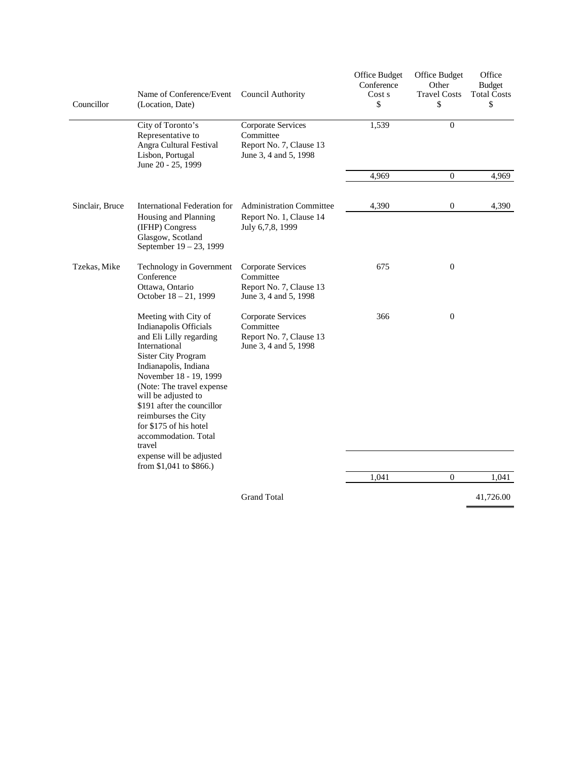| Councillor      | Name of Conference/Event<br>(Location, Date)                                                                                                                                                                                                                                                                                                                                 | Council Authority                                                                   | Office Budget<br>Conference<br>Cost s<br>\$ | Office Budget<br>Other<br><b>Travel Costs</b><br>\$ | Office<br><b>Budget</b><br><b>Total Costs</b><br>\$ |
|-----------------|------------------------------------------------------------------------------------------------------------------------------------------------------------------------------------------------------------------------------------------------------------------------------------------------------------------------------------------------------------------------------|-------------------------------------------------------------------------------------|---------------------------------------------|-----------------------------------------------------|-----------------------------------------------------|
|                 | City of Toronto's<br>Representative to<br>Angra Cultural Festival<br>Lisbon, Portugal<br>June 20 - 25, 1999                                                                                                                                                                                                                                                                  | Corporate Services<br>Committee<br>Report No. 7, Clause 13<br>June 3, 4 and 5, 1998 | 1,539                                       | $\Omega$                                            |                                                     |
|                 |                                                                                                                                                                                                                                                                                                                                                                              |                                                                                     | 4,969                                       | $\boldsymbol{0}$                                    | 4,969                                               |
| Sinclair, Bruce | International Federation for<br>Housing and Planning<br>(IFHP) Congress<br>Glasgow, Scotland<br>September 19 - 23, 1999                                                                                                                                                                                                                                                      | <b>Administration Committee</b><br>Report No. 1, Clause 14<br>July 6,7,8, 1999      | 4,390                                       | 0                                                   | 4,390                                               |
| Tzekas, Mike    | Technology in Government<br>Conference<br>Ottawa, Ontario<br>October 18 - 21, 1999                                                                                                                                                                                                                                                                                           | Corporate Services<br>Committee<br>Report No. 7, Clause 13<br>June 3, 4 and 5, 1998 | 675                                         | $\mathbf{0}$                                        |                                                     |
|                 | Meeting with City of<br>Indianapolis Officials<br>and Eli Lilly regarding<br>International<br><b>Sister City Program</b><br>Indianapolis, Indiana<br>November 18 - 19, 1999<br>(Note: The travel expense<br>will be adjusted to<br>\$191 after the councillor<br>reimburses the City<br>for \$175 of his hotel<br>accommodation. Total<br>travel<br>expense will be adjusted | Corporate Services<br>Committee<br>Report No. 7, Clause 13<br>June 3, 4 and 5, 1998 | 366                                         | $\mathbf{0}$                                        |                                                     |
|                 | from $$1,041$ to $$866$ .)                                                                                                                                                                                                                                                                                                                                                   |                                                                                     | 1,041                                       | $\overline{0}$                                      | 1,041                                               |
|                 |                                                                                                                                                                                                                                                                                                                                                                              | <b>Grand Total</b>                                                                  |                                             |                                                     | 41,726.00                                           |
|                 |                                                                                                                                                                                                                                                                                                                                                                              |                                                                                     |                                             |                                                     |                                                     |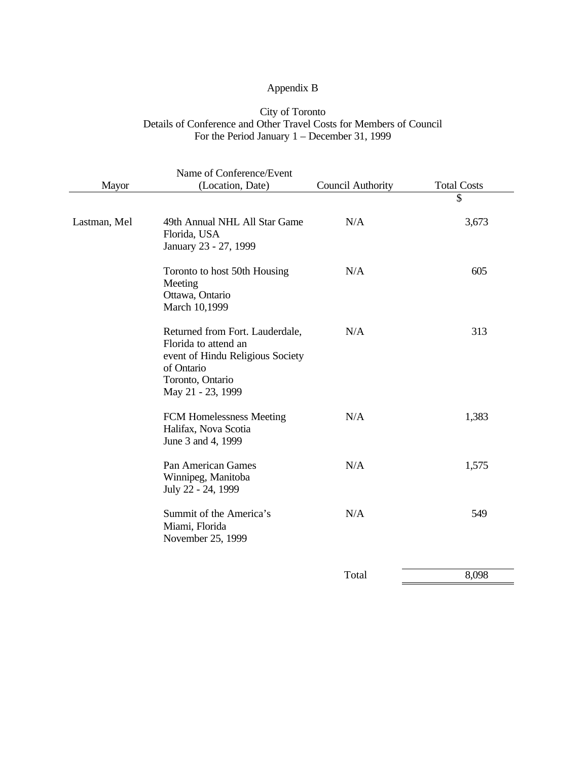# Appendix B

### City of Toronto Details of Conference and Other Travel Costs for Members of Council For the Period January 1 – December 31, 1999

|              | Name of Conference/Event                                                                                                                           |                          |                    |
|--------------|----------------------------------------------------------------------------------------------------------------------------------------------------|--------------------------|--------------------|
| Mayor        | (Location, Date)                                                                                                                                   | <b>Council Authority</b> | <b>Total Costs</b> |
|              |                                                                                                                                                    |                          | \$                 |
| Lastman, Mel | 49th Annual NHL All Star Game<br>Florida, USA<br>January 23 - 27, 1999                                                                             | N/A                      | 3,673              |
|              | Toronto to host 50th Housing<br>Meeting<br>Ottawa, Ontario<br>March 10,1999                                                                        | N/A                      | 605                |
|              | Returned from Fort. Lauderdale,<br>Florida to attend an<br>event of Hindu Religious Society<br>of Ontario<br>Toronto, Ontario<br>May 21 - 23, 1999 | N/A                      | 313                |
|              | FCM Homelessness Meeting<br>Halifax, Nova Scotia<br>June 3 and 4, 1999                                                                             | N/A                      | 1,383              |
|              | Pan American Games<br>Winnipeg, Manitoba<br>July 22 - 24, 1999                                                                                     | N/A                      | 1,575              |
|              | Summit of the America's<br>Miami, Florida<br>November 25, 1999                                                                                     | N/A                      | 549                |
|              |                                                                                                                                                    | Total                    | 8,098              |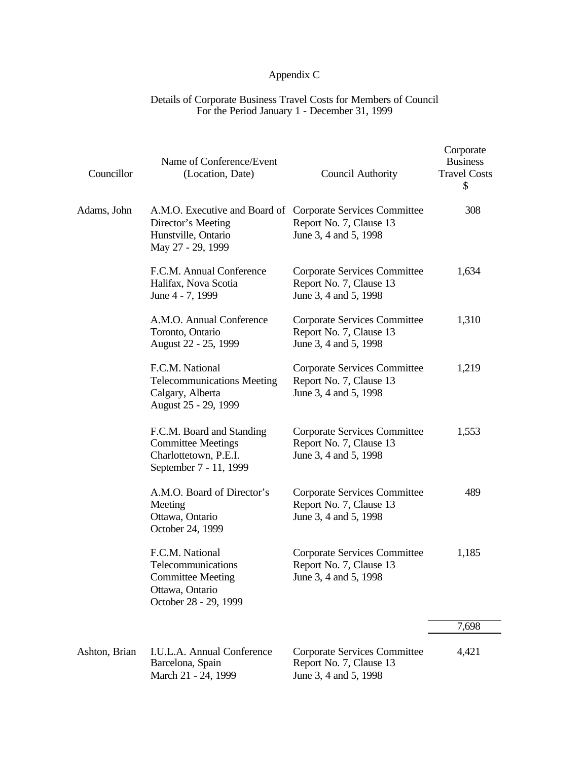# Appendix C

### Details of Corporate Business Travel Costs for Members of Council For the Period January 1 - December 31, 1999

| Councillor    | Name of Conference/Event<br>(Location, Date)                                                                                 | <b>Council Authority</b>                                                                | Corporate<br><b>Business</b><br><b>Travel Costs</b><br>\$ |
|---------------|------------------------------------------------------------------------------------------------------------------------------|-----------------------------------------------------------------------------------------|-----------------------------------------------------------|
| Adams, John   | A.M.O. Executive and Board of Corporate Services Committee<br>Director's Meeting<br>Hunstville, Ontario<br>May 27 - 29, 1999 | Report No. 7, Clause 13<br>June 3, 4 and 5, 1998                                        | 308                                                       |
|               | F.C.M. Annual Conference<br>Halifax, Nova Scotia<br>June 4 - 7, 1999                                                         | Corporate Services Committee<br>Report No. 7, Clause 13<br>June 3, 4 and 5, 1998        | 1,634                                                     |
|               | A.M.O. Annual Conference<br>Toronto, Ontario<br>August 22 - 25, 1999                                                         | Corporate Services Committee<br>Report No. 7, Clause 13<br>June 3, 4 and 5, 1998        | 1,310                                                     |
|               | F.C.M. National<br><b>Telecommunications Meeting</b><br>Calgary, Alberta<br>August 25 - 29, 1999                             | Corporate Services Committee<br>Report No. 7, Clause 13<br>June 3, 4 and 5, 1998        | 1,219                                                     |
|               | F.C.M. Board and Standing<br><b>Committee Meetings</b><br>Charlottetown, P.E.I.<br>September 7 - 11, 1999                    | <b>Corporate Services Committee</b><br>Report No. 7, Clause 13<br>June 3, 4 and 5, 1998 | 1,553                                                     |
|               | A.M.O. Board of Director's<br>Meeting<br>Ottawa, Ontario<br>October 24, 1999                                                 | Corporate Services Committee<br>Report No. 7, Clause 13<br>June 3, 4 and 5, 1998        | 489                                                       |
|               | F.C.M. National<br>Telecommunications<br><b>Committee Meeting</b><br>Ottawa, Ontario<br>October 28 - 29, 1999                | <b>Corporate Services Committee</b><br>Report No. 7, Clause 13<br>June 3, 4 and 5, 1998 | 1,185                                                     |
|               |                                                                                                                              |                                                                                         | 7,698                                                     |
| Ashton, Brian | I.U.L.A. Annual Conference<br>Rarcolona Spain                                                                                | Corporate Services Committee<br>Donort No. $7$ Clause 12                                | 4,421                                                     |

Barcelona, Spain Report No. 7, Clause 13 March 21 - 24, 1999 June 3, 4 and 5, 1998

 $\overline{\phantom{0}}$  $\overline{\phantom{a}}$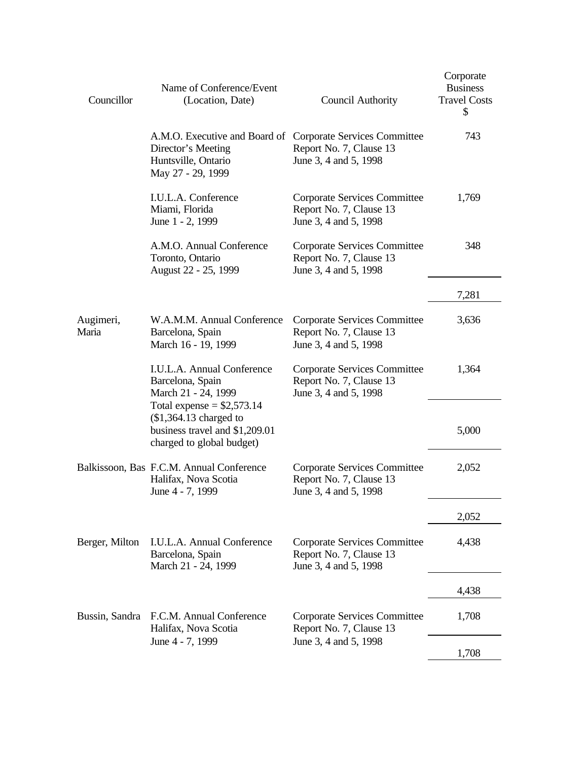| Councillor         | Name of Conference/Event<br>(Location, Date)                                                                                 | <b>Council Authority</b>                                                                | Corporate<br><b>Business</b><br><b>Travel Costs</b><br>\$ |
|--------------------|------------------------------------------------------------------------------------------------------------------------------|-----------------------------------------------------------------------------------------|-----------------------------------------------------------|
|                    | A.M.O. Executive and Board of Corporate Services Committee<br>Director's Meeting<br>Huntsville, Ontario<br>May 27 - 29, 1999 | Report No. 7, Clause 13<br>June 3, 4 and 5, 1998                                        | 743                                                       |
|                    | I.U.L.A. Conference<br>Miami, Florida<br>June 1 - 2, 1999                                                                    | Corporate Services Committee<br>Report No. 7, Clause 13<br>June 3, 4 and 5, 1998        | 1,769                                                     |
|                    | A.M.O. Annual Conference<br>Toronto, Ontario<br>August 22 - 25, 1999                                                         | Corporate Services Committee<br>Report No. 7, Clause 13<br>June 3, 4 and 5, 1998        | 348                                                       |
|                    |                                                                                                                              |                                                                                         | 7,281                                                     |
| Augimeri,<br>Maria | W.A.M.M. Annual Conference<br>Barcelona, Spain<br>March 16 - 19, 1999                                                        | Corporate Services Committee<br>Report No. 7, Clause 13<br>June 3, 4 and 5, 1998        | 3,636                                                     |
|                    | I.U.L.A. Annual Conference<br>Barcelona, Spain<br>March 21 - 24, 1999<br>Total expense = $$2,573.14$                         | Corporate Services Committee<br>Report No. 7, Clause 13<br>June 3, 4 and 5, 1998        | 1,364                                                     |
|                    | $$1,364.13$ charged to<br>business travel and \$1,209.01<br>charged to global budget)                                        |                                                                                         | 5,000                                                     |
|                    | Balkissoon, Bas F.C.M. Annual Conference<br>Halifax, Nova Scotia<br>June 4 - 7, 1999                                         | Corporate Services Committee<br>Report No. 7, Clause 13<br>June 3, 4 and 5, 1998        | 2,052                                                     |
|                    |                                                                                                                              |                                                                                         | 2,052                                                     |
| Berger, Milton     | I.U.L.A. Annual Conference<br>Barcelona, Spain<br>March 21 - 24, 1999                                                        | <b>Corporate Services Committee</b><br>Report No. 7, Clause 13<br>June 3, 4 and 5, 1998 | 4,438                                                     |
|                    |                                                                                                                              |                                                                                         | 4,438                                                     |
| Bussin, Sandra     | F.C.M. Annual Conference<br>Halifax, Nova Scotia                                                                             | <b>Corporate Services Committee</b><br>Report No. 7, Clause 13                          | 1,708                                                     |
|                    | June 4 - 7, 1999                                                                                                             | June 3, 4 and 5, 1998                                                                   | 1,708                                                     |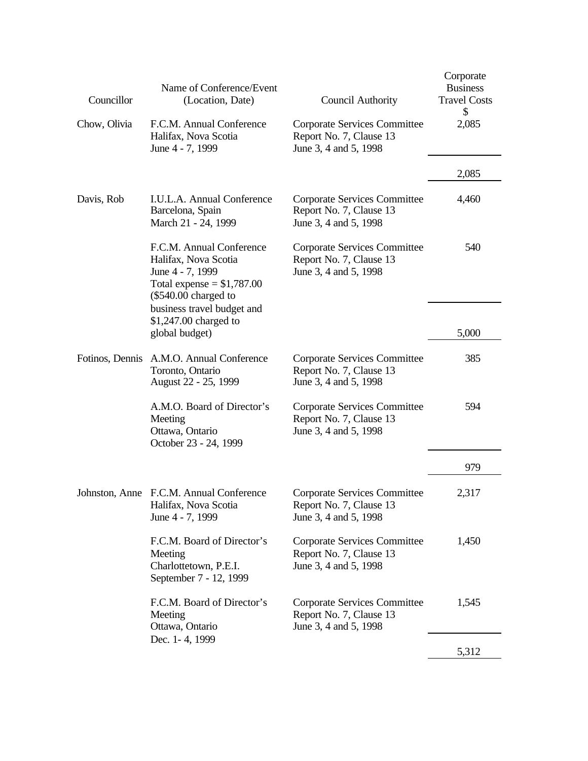| Councillor      | Name of Conference/Event<br>(Location, Date)                                                                                                                | <b>Council Authority</b>                                                                | Corporate<br><b>Business</b><br><b>Travel Costs</b><br>\$ |
|-----------------|-------------------------------------------------------------------------------------------------------------------------------------------------------------|-----------------------------------------------------------------------------------------|-----------------------------------------------------------|
| Chow, Olivia    | F.C.M. Annual Conference<br>Halifax, Nova Scotia<br>June 4 - 7, 1999                                                                                        | Corporate Services Committee<br>Report No. 7, Clause 13<br>June 3, 4 and 5, 1998        | 2,085                                                     |
|                 |                                                                                                                                                             |                                                                                         | 2,085                                                     |
| Davis, Rob      | I.U.L.A. Annual Conference<br>Barcelona, Spain<br>March 21 - 24, 1999                                                                                       | <b>Corporate Services Committee</b><br>Report No. 7, Clause 13<br>June 3, 4 and 5, 1998 | 4,460                                                     |
|                 | F.C.M. Annual Conference<br>Halifax, Nova Scotia<br>June 4 - 7, 1999<br>Total expense $= $1,787.00$<br>$(\$540.00$ charged to<br>business travel budget and | Corporate Services Committee<br>Report No. 7, Clause 13<br>June 3, 4 and 5, 1998        | 540                                                       |
|                 | $$1,247.00$ charged to<br>global budget)                                                                                                                    |                                                                                         | 5,000                                                     |
| Fotinos, Dennis | A.M.O. Annual Conference<br>Toronto, Ontario<br>August 22 - 25, 1999                                                                                        | Corporate Services Committee<br>Report No. 7, Clause 13<br>June 3, 4 and 5, 1998        | 385                                                       |
|                 | A.M.O. Board of Director's<br>Meeting<br>Ottawa, Ontario<br>October 23 - 24, 1999                                                                           | Corporate Services Committee<br>Report No. 7, Clause 13<br>June 3, 4 and 5, 1998        | 594                                                       |
|                 |                                                                                                                                                             |                                                                                         | 979                                                       |
|                 | Johnston, Anne F.C.M. Annual Conference<br>Halifax, Nova Scotia<br>June 4 - 7, 1999                                                                         | Corporate Services Committee<br>Report No. 7, Clause 13<br>June 3, 4 and 5, 1998        | 2,317                                                     |
|                 | F.C.M. Board of Director's<br>Meeting<br>Charlottetown, P.E.I.<br>September 7 - 12, 1999                                                                    | Corporate Services Committee<br>Report No. 7, Clause 13<br>June 3, 4 and 5, 1998        | 1,450                                                     |
|                 | F.C.M. Board of Director's<br>Meeting<br>Ottawa, Ontario                                                                                                    | Corporate Services Committee<br>Report No. 7, Clause 13<br>June 3, 4 and 5, 1998        | 1,545                                                     |
|                 | Dec. 1-4, 1999                                                                                                                                              |                                                                                         | 5,312                                                     |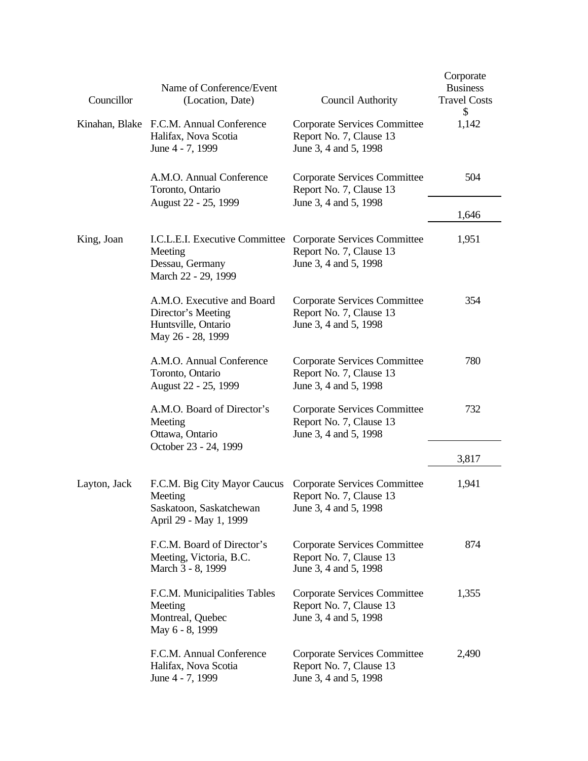| Councillor   | Name of Conference/Event<br>(Location, Date)                                                                              | <b>Council Authority</b>                                                                | Corporate<br><b>Business</b><br><b>Travel Costs</b><br>\$ |
|--------------|---------------------------------------------------------------------------------------------------------------------------|-----------------------------------------------------------------------------------------|-----------------------------------------------------------|
|              | Kinahan, Blake F.C.M. Annual Conference<br>Halifax, Nova Scotia<br>June 4 - 7, 1999                                       | Corporate Services Committee<br>Report No. 7, Clause 13<br>June 3, 4 and 5, 1998        | 1,142                                                     |
|              | A.M.O. Annual Conference<br>Toronto, Ontario                                                                              | Corporate Services Committee<br>Report No. 7, Clause 13                                 | 504                                                       |
|              | August 22 - 25, 1999                                                                                                      | June 3, 4 and 5, 1998                                                                   | 1,646                                                     |
| King, Joan   | I.C.L.E.I. Executive Committee<br>Meeting<br>Dessau, Germany<br>March 22 - 29, 1999                                       | Corporate Services Committee<br>Report No. 7, Clause 13<br>June 3, 4 and 5, 1998        | 1,951                                                     |
|              | A.M.O. Executive and Board<br>Director's Meeting<br>Huntsville, Ontario<br>May 26 - 28, 1999                              | Corporate Services Committee<br>Report No. 7, Clause 13<br>June 3, 4 and 5, 1998        | 354                                                       |
|              | A.M.O. Annual Conference<br>Toronto, Ontario<br>August 22 - 25, 1999                                                      | <b>Corporate Services Committee</b><br>Report No. 7, Clause 13<br>June 3, 4 and 5, 1998 | 780                                                       |
|              | A.M.O. Board of Director's<br>Meeting<br>Ottawa, Ontario                                                                  | Corporate Services Committee<br>Report No. 7, Clause 13<br>June 3, 4 and 5, 1998        | 732                                                       |
|              | October 23 - 24, 1999                                                                                                     |                                                                                         | 3,817                                                     |
| Layton, Jack | F.C.M. Big City Mayor Caucus Corporate Services Committee<br>Meeting<br>Saskatoon, Saskatchewan<br>April 29 - May 1, 1999 | Report No. 7, Clause 13<br>June 3, 4 and 5, 1998                                        | 1,941                                                     |
|              | F.C.M. Board of Director's<br>Meeting, Victoria, B.C.<br>March 3 - 8, 1999                                                | Corporate Services Committee<br>Report No. 7, Clause 13<br>June 3, 4 and 5, 1998        | 874                                                       |
|              | F.C.M. Municipalities Tables<br>Meeting<br>Montreal, Quebec<br>May 6 - 8, 1999                                            | Corporate Services Committee<br>Report No. 7, Clause 13<br>June 3, 4 and 5, 1998        | 1,355                                                     |
|              | F.C.M. Annual Conference<br>Halifax, Nova Scotia<br>June 4 - 7, 1999                                                      | Corporate Services Committee<br>Report No. 7, Clause 13<br>June 3, 4 and 5, 1998        | 2,490                                                     |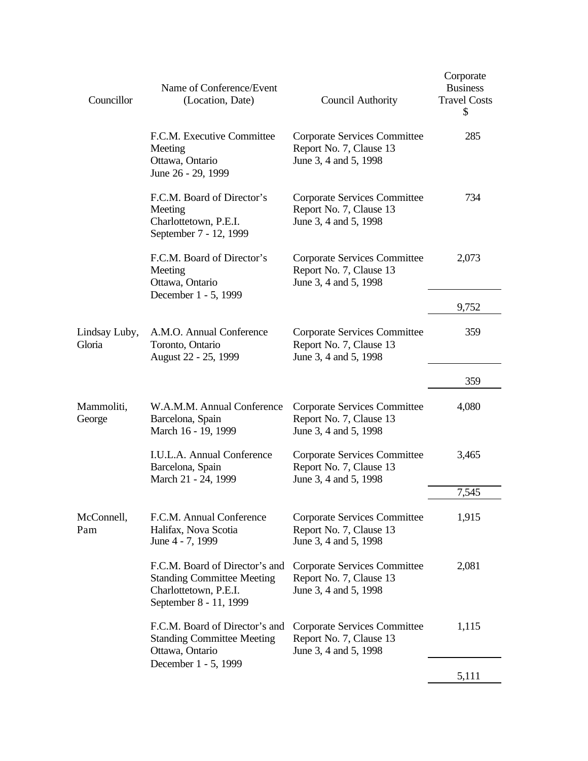| Councillor              | Name of Conference/Event<br>(Location, Date)                                                                           | <b>Council Authority</b>                                                         | Corporate<br><b>Business</b><br><b>Travel Costs</b><br>\$ |
|-------------------------|------------------------------------------------------------------------------------------------------------------------|----------------------------------------------------------------------------------|-----------------------------------------------------------|
|                         | F.C.M. Executive Committee<br>Meeting<br>Ottawa, Ontario<br>June 26 - 29, 1999                                         | Corporate Services Committee<br>Report No. 7, Clause 13<br>June 3, 4 and 5, 1998 | 285                                                       |
|                         | F.C.M. Board of Director's<br>Meeting<br>Charlottetown, P.E.I.<br>September 7 - 12, 1999                               | Corporate Services Committee<br>Report No. 7, Clause 13<br>June 3, 4 and 5, 1998 | 734                                                       |
|                         | F.C.M. Board of Director's<br>Meeting<br>Ottawa, Ontario<br>December 1 - 5, 1999                                       | Corporate Services Committee<br>Report No. 7, Clause 13<br>June 3, 4 and 5, 1998 | 2,073                                                     |
|                         |                                                                                                                        |                                                                                  | 9,752                                                     |
| Lindsay Luby,<br>Gloria | A.M.O. Annual Conference<br>Toronto, Ontario<br>August 22 - 25, 1999                                                   | Corporate Services Committee<br>Report No. 7, Clause 13<br>June 3, 4 and 5, 1998 | 359                                                       |
|                         |                                                                                                                        |                                                                                  | 359                                                       |
| Mammoliti,<br>George    | W.A.M.M. Annual Conference<br>Barcelona, Spain<br>March 16 - 19, 1999                                                  | Corporate Services Committee<br>Report No. 7, Clause 13<br>June 3, 4 and 5, 1998 | 4,080                                                     |
|                         | I.U.L.A. Annual Conference<br>Barcelona, Spain<br>March 21 - 24, 1999                                                  | Corporate Services Committee<br>Report No. 7, Clause 13<br>June 3, 4 and 5, 1998 | 3,465                                                     |
|                         |                                                                                                                        |                                                                                  | 7,545                                                     |
| McConnell,<br>Pam       | F.C.M. Annual Conference<br>Halifax, Nova Scotia<br>June 4 - 7, 1999                                                   | Corporate Services Committee<br>Report No. 7, Clause 13<br>June 3, 4 and 5, 1998 | 1,915                                                     |
|                         | F.C.M. Board of Director's and<br><b>Standing Committee Meeting</b><br>Charlottetown, P.E.I.<br>September 8 - 11, 1999 | Corporate Services Committee<br>Report No. 7, Clause 13<br>June 3, 4 and 5, 1998 | 2,081                                                     |
|                         | F.C.M. Board of Director's and<br><b>Standing Committee Meeting</b><br>Ottawa, Ontario                                 | Corporate Services Committee<br>Report No. 7, Clause 13<br>June 3, 4 and 5, 1998 | 1,115                                                     |
|                         | December 1 - 5, 1999                                                                                                   |                                                                                  | 5,111                                                     |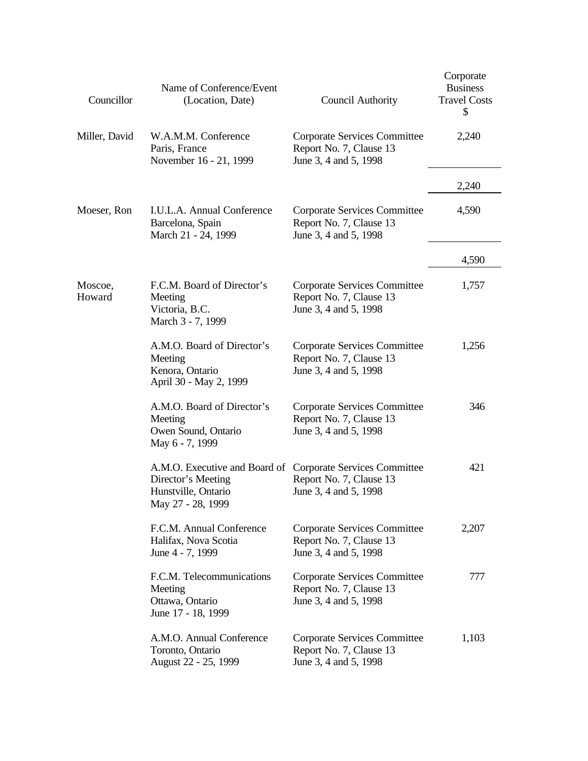| Councillor        | Name of Conference/Event<br>(Location, Date)                                                    | <b>Council Authority</b>                                                         | Corporate<br><b>Business</b><br><b>Travel Costs</b><br>\$ |
|-------------------|-------------------------------------------------------------------------------------------------|----------------------------------------------------------------------------------|-----------------------------------------------------------|
| Miller, David     | W.A.M.M. Conference<br>Paris, France<br>November 16 - 21, 1999                                  | Corporate Services Committee<br>Report No. 7, Clause 13<br>June 3, 4 and 5, 1998 | 2,240                                                     |
|                   |                                                                                                 |                                                                                  | 2,240                                                     |
| Moeser, Ron       | I.U.L.A. Annual Conference<br>Barcelona, Spain<br>March 21 - 24, 1999                           | Corporate Services Committee<br>Report No. 7, Clause 13<br>June 3, 4 and 5, 1998 | 4,590                                                     |
|                   |                                                                                                 |                                                                                  | 4,590                                                     |
| Moscoe,<br>Howard | F.C.M. Board of Director's<br>Meeting<br>Victoria, B.C.<br>March 3 - 7, 1999                    | Corporate Services Committee<br>Report No. 7, Clause 13<br>June 3, 4 and 5, 1998 | 1,757                                                     |
|                   | A.M.O. Board of Director's<br>Meeting<br>Kenora, Ontario<br>April 30 - May 2, 1999              | Corporate Services Committee<br>Report No. 7, Clause 13<br>June 3, 4 and 5, 1998 | 1,256                                                     |
|                   | A.M.O. Board of Director's<br>Meeting<br>Owen Sound, Ontario<br>May 6 - 7, 1999                 | Corporate Services Committee<br>Report No. 7, Clause 13<br>June 3, 4 and 5, 1998 | 346                                                       |
|                   | A.M.O. Executive and Board of<br>Director's Meeting<br>Hunstville, Ontario<br>May 27 - 28, 1999 | Corporate Services Committee<br>Report No. 7, Clause 13<br>June 3, 4 and 5, 1998 | 421                                                       |
|                   | F.C.M. Annual Conference<br>Halifax, Nova Scotia<br>June 4 - 7, 1999                            | Corporate Services Committee<br>Report No. 7, Clause 13<br>June 3, 4 and 5, 1998 | 2,207                                                     |
|                   | F.C.M. Telecommunications<br>Meeting<br>Ottawa, Ontario<br>June 17 - 18, 1999                   | Corporate Services Committee<br>Report No. 7, Clause 13<br>June 3, 4 and 5, 1998 | 777                                                       |
|                   | A.M.O. Annual Conference<br>Toronto, Ontario<br>August 22 - 25, 1999                            | Corporate Services Committee<br>Report No. 7, Clause 13<br>June 3, 4 and 5, 1998 | 1,103                                                     |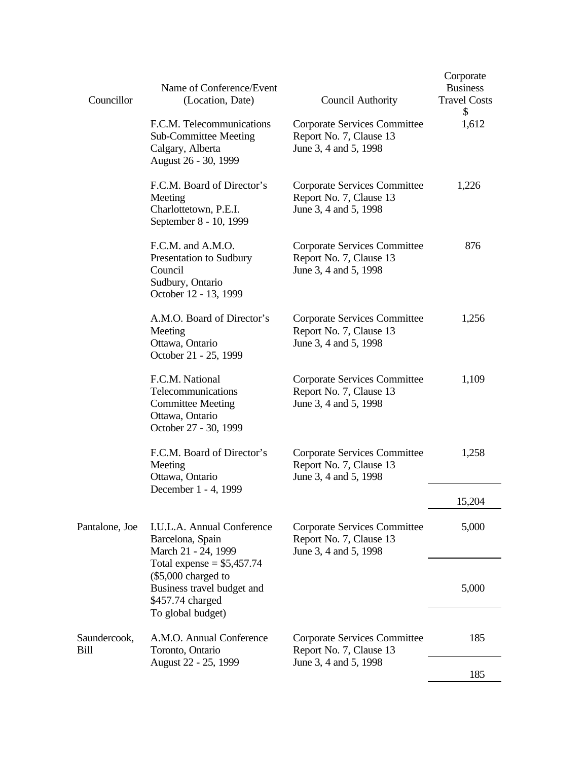| Councillor           | Name of Conference/Event<br>(Location, Date)                                                                              | Council Authority                                                                       | Corporate<br><b>Business</b><br><b>Travel Costs</b><br>\$ |
|----------------------|---------------------------------------------------------------------------------------------------------------------------|-----------------------------------------------------------------------------------------|-----------------------------------------------------------|
|                      | F.C.M. Telecommunications<br><b>Sub-Committee Meeting</b><br>Calgary, Alberta<br>August 26 - 30, 1999                     | Corporate Services Committee<br>Report No. 7, Clause 13<br>June 3, 4 and 5, 1998        | 1,612                                                     |
|                      | F.C.M. Board of Director's<br>Meeting<br>Charlottetown, P.E.I.<br>September 8 - 10, 1999                                  | Corporate Services Committee<br>Report No. 7, Clause 13<br>June 3, 4 and 5, 1998        | 1,226                                                     |
|                      | F.C.M. and A.M.O.<br>Presentation to Sudbury<br>Council<br>Sudbury, Ontario<br>October 12 - 13, 1999                      | Corporate Services Committee<br>Report No. 7, Clause 13<br>June 3, 4 and 5, 1998        | 876                                                       |
|                      | A.M.O. Board of Director's<br>Meeting<br>Ottawa, Ontario<br>October 21 - 25, 1999                                         | <b>Corporate Services Committee</b><br>Report No. 7, Clause 13<br>June 3, 4 and 5, 1998 | 1,256                                                     |
|                      | F.C.M. National<br>Telecommunications<br><b>Committee Meeting</b><br>Ottawa, Ontario<br>October 27 - 30, 1999             | Corporate Services Committee<br>Report No. 7, Clause 13<br>June 3, 4 and 5, 1998        | 1,109                                                     |
|                      | F.C.M. Board of Director's<br>Meeting<br>Ottawa, Ontario                                                                  | <b>Corporate Services Committee</b><br>Report No. 7, Clause 13<br>June 3, 4 and 5, 1998 | 1,258                                                     |
|                      | December 1 - 4, 1999                                                                                                      |                                                                                         | 15,204                                                    |
| Pantalone, Joe       | I.U.L.A. Annual Conference<br>Barcelona, Spain<br>March 21 - 24, 1999                                                     | Corporate Services Committee<br>Report No. 7, Clause 13<br>June 3, 4 and 5, 1998        | 5,000                                                     |
|                      | Total expense = $$5,457.74$<br>(\$5,000 charged to<br>Business travel budget and<br>\$457.74 charged<br>To global budget) |                                                                                         | 5,000                                                     |
| Saundercook,<br>Bill | A.M.O. Annual Conference<br>Toronto, Ontario                                                                              | Corporate Services Committee<br>Report No. 7, Clause 13                                 | 185                                                       |
|                      | August 22 - 25, 1999                                                                                                      | June 3, 4 and 5, 1998                                                                   | 185                                                       |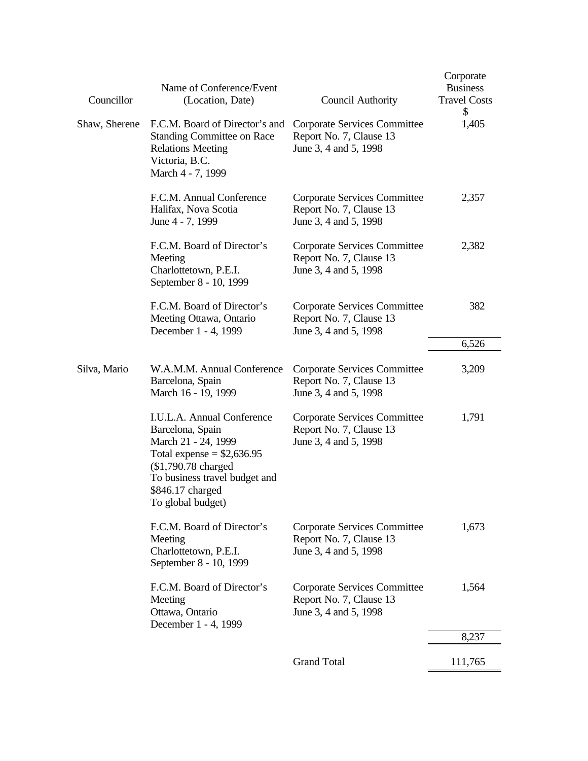| Councillor    | Name of Conference/Event<br>(Location, Date)                                                                                                                                                          | <b>Council Authority</b>                                                         | Corporate<br><b>Business</b><br><b>Travel Costs</b><br>\$ |
|---------------|-------------------------------------------------------------------------------------------------------------------------------------------------------------------------------------------------------|----------------------------------------------------------------------------------|-----------------------------------------------------------|
| Shaw, Sherene | F.C.M. Board of Director's and<br><b>Standing Committee on Race</b><br><b>Relations Meeting</b><br>Victoria, B.C.<br>March 4 - 7, 1999                                                                | Corporate Services Committee<br>Report No. 7, Clause 13<br>June 3, 4 and 5, 1998 | 1,405                                                     |
|               | F.C.M. Annual Conference<br>Halifax, Nova Scotia<br>June 4 - 7, 1999                                                                                                                                  | Corporate Services Committee<br>Report No. 7, Clause 13<br>June 3, 4 and 5, 1998 | 2,357                                                     |
|               | F.C.M. Board of Director's<br>Meeting<br>Charlottetown, P.E.I.<br>September 8 - 10, 1999                                                                                                              | Corporate Services Committee<br>Report No. 7, Clause 13<br>June 3, 4 and 5, 1998 | 2,382                                                     |
|               | F.C.M. Board of Director's<br>Meeting Ottawa, Ontario<br>December 1 - 4, 1999                                                                                                                         | Corporate Services Committee<br>Report No. 7, Clause 13<br>June 3, 4 and 5, 1998 | 382                                                       |
|               |                                                                                                                                                                                                       |                                                                                  | 6,526                                                     |
| Silva, Mario  | W.A.M.M. Annual Conference<br>Barcelona, Spain<br>March 16 - 19, 1999                                                                                                                                 | Corporate Services Committee<br>Report No. 7, Clause 13<br>June 3, 4 and 5, 1998 | 3,209                                                     |
|               | I.U.L.A. Annual Conference<br>Barcelona, Spain<br>March 21 - 24, 1999<br>Total expense = $$2,636.95$<br>(\$1,790.78 charged<br>To business travel budget and<br>\$846.17 charged<br>To global budget) | Corporate Services Committee<br>Report No. 7, Clause 13<br>June 3, 4 and 5, 1998 | 1,791                                                     |
|               | F.C.M. Board of Director's<br>Meeting<br>Charlottetown, P.E.I.<br>September 8 - 10, 1999                                                                                                              | Corporate Services Committee<br>Report No. 7, Clause 13<br>June 3, 4 and 5, 1998 | 1,673                                                     |
|               | F.C.M. Board of Director's<br>Meeting<br>Ottawa, Ontario<br>December 1 - 4, 1999                                                                                                                      | Corporate Services Committee<br>Report No. 7, Clause 13<br>June 3, 4 and 5, 1998 | 1,564                                                     |
|               |                                                                                                                                                                                                       |                                                                                  | 8,237                                                     |
|               |                                                                                                                                                                                                       | <b>Grand Total</b>                                                               | 111,765                                                   |
|               |                                                                                                                                                                                                       |                                                                                  |                                                           |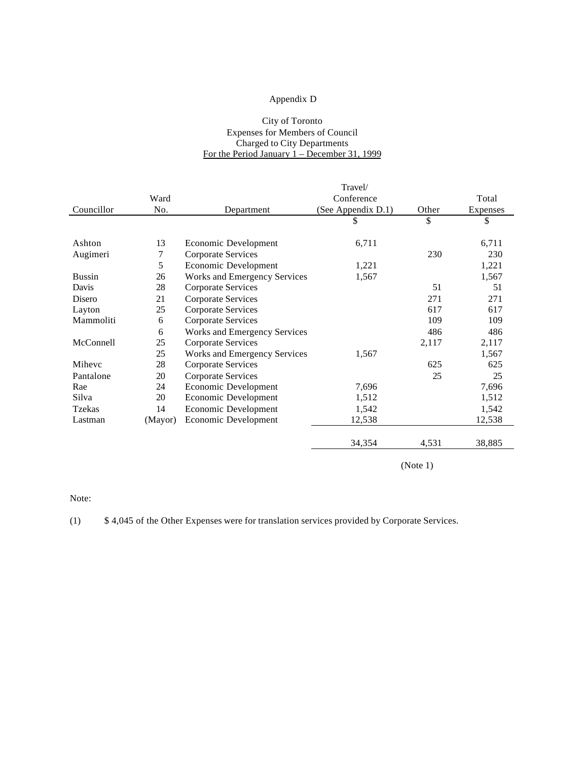### Appendix D

#### City of Toronto Expenses for Members of Council Charged to City Departments For the Period January 1 – December 31, 1999

| Ward<br>No. |                                     | Conference         |        |          |
|-------------|-------------------------------------|--------------------|--------|----------|
|             |                                     |                    |        | Total    |
|             | Department                          | (See Appendix D.1) | Other  | Expenses |
|             |                                     | \$                 | \$     | \$       |
|             |                                     |                    |        |          |
| 13          | Economic Development                | 6,711              |        | 6,711    |
| 7           | Corporate Services                  |                    | 230    | 230      |
| 5           | Economic Development                | 1,221              |        | 1,221    |
| 26          | <b>Works and Emergency Services</b> | 1,567              |        | 1,567    |
| 28          | Corporate Services                  |                    | 51     | 51       |
| 21          | <b>Corporate Services</b>           |                    | 271    | 271      |
| 25          | Corporate Services                  |                    | 617    | 617      |
| 6           | <b>Corporate Services</b>           |                    | 109    | 109      |
| 6           | <b>Works and Emergency Services</b> |                    | 486    | 486      |
| 25          | <b>Corporate Services</b>           |                    | 2,117  | 2,117    |
| 25          | Works and Emergency Services        | 1,567              |        | 1,567    |
| 28          | <b>Corporate Services</b>           |                    | 625    | 625      |
| 20          | <b>Corporate Services</b>           |                    | 25     | 25       |
| 24          | Economic Development                | 7,696              |        | 7,696    |
| 20          | Economic Development                | 1,512              |        | 1,512    |
| 14          | Economic Development                | 1,542              |        | 1,542    |
| (Mayor)     | Economic Development                | 12,538             |        | 12,538   |
|             |                                     |                    |        | 38,885   |
|             |                                     |                    | 34,354 | 4,531    |

(Note 1)

Note:

(1) \$ 4,045 of the Other Expenses were for translation services provided by Corporate Services.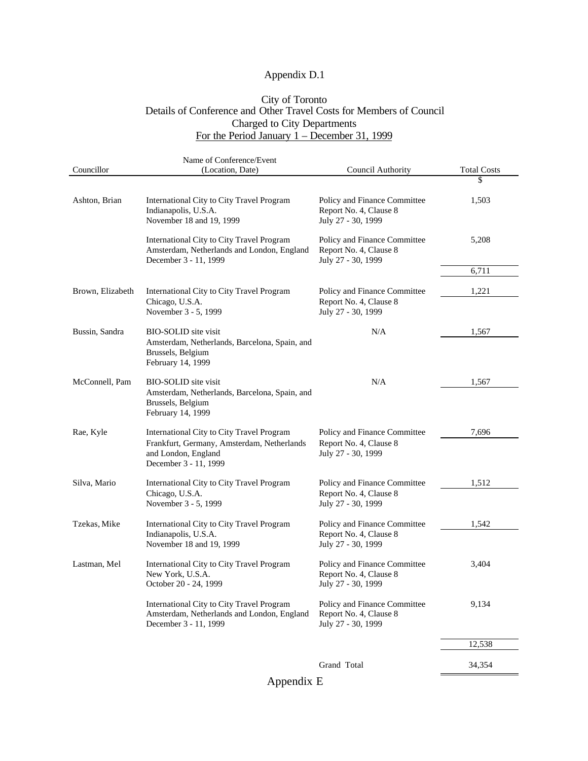# Appendix D.1

### City of Toronto Details of Conference and Other Travel Costs for Members of Council Charged to City Departments For the Period January 1 – December 31, 1999

|                  | Name of Conference/Event                                                                                                                |                                                                              |                    |
|------------------|-----------------------------------------------------------------------------------------------------------------------------------------|------------------------------------------------------------------------------|--------------------|
| Councillor       | (Location, Date)                                                                                                                        | Council Authority                                                            | <b>Total Costs</b> |
|                  |                                                                                                                                         |                                                                              | \$                 |
| Ashton, Brian    | International City to City Travel Program<br>Indianapolis, U.S.A.<br>November 18 and 19, 1999                                           | Policy and Finance Committee<br>Report No. 4, Clause 8<br>July 27 - 30, 1999 | 1,503              |
|                  | International City to City Travel Program<br>Amsterdam, Netherlands and London, England<br>December 3 - 11, 1999                        | Policy and Finance Committee<br>Report No. 4, Clause 8<br>July 27 - 30, 1999 | 5,208              |
|                  |                                                                                                                                         |                                                                              | 6,711              |
| Brown, Elizabeth | International City to City Travel Program<br>Chicago, U.S.A.                                                                            | Policy and Finance Committee<br>Report No. 4, Clause 8                       | 1,221              |
|                  | November 3 - 5, 1999                                                                                                                    | July 27 - 30, 1999                                                           |                    |
| Bussin, Sandra   | <b>BIO-SOLID</b> site visit<br>Amsterdam, Netherlands, Barcelona, Spain, and<br>Brussels, Belgium<br>February 14, 1999                  | N/A                                                                          | 1,567              |
| McConnell, Pam   | <b>BIO-SOLID</b> site visit<br>Amsterdam, Netherlands, Barcelona, Spain, and<br>Brussels, Belgium<br>February 14, 1999                  | N/A                                                                          | 1,567              |
| Rae, Kyle        | International City to City Travel Program<br>Frankfurt, Germany, Amsterdam, Netherlands<br>and London, England<br>December 3 - 11, 1999 | Policy and Finance Committee<br>Report No. 4, Clause 8<br>July 27 - 30, 1999 | 7,696              |
| Silva, Mario     | International City to City Travel Program<br>Chicago, U.S.A.<br>November 3 - 5, 1999                                                    | Policy and Finance Committee<br>Report No. 4, Clause 8<br>July 27 - 30, 1999 | 1,512              |
| Tzekas, Mike     | International City to City Travel Program<br>Indianapolis, U.S.A.<br>November 18 and 19, 1999                                           | Policy and Finance Committee<br>Report No. 4, Clause 8<br>July 27 - 30, 1999 | 1,542              |
| Lastman, Mel     | International City to City Travel Program<br>New York, U.S.A.<br>October 20 - 24, 1999                                                  | Policy and Finance Committee<br>Report No. 4, Clause 8<br>July 27 - 30, 1999 | 3,404              |
|                  | International City to City Travel Program<br>Amsterdam, Netherlands and London, England<br>December 3 - 11, 1999                        | Policy and Finance Committee<br>Report No. 4, Clause 8<br>July 27 - 30, 1999 | 9,134              |
|                  |                                                                                                                                         |                                                                              | 12,538             |
|                  |                                                                                                                                         | Grand Total                                                                  | 34,354             |

Appendix E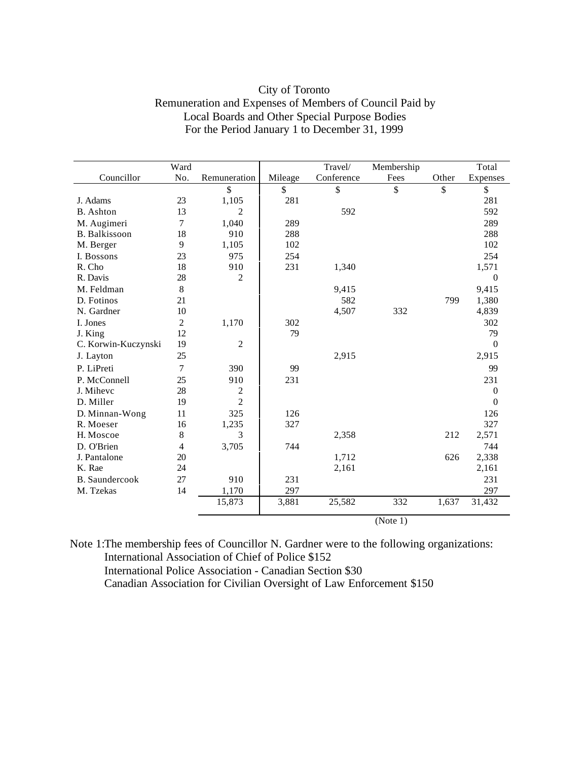| City of Toronto                                         |
|---------------------------------------------------------|
| Remuneration and Expenses of Members of Council Paid by |
| Local Boards and Other Special Purpose Bodies           |
| For the Period January 1 to December 31, 1999           |

|                       | Ward           |                  |         | Travel/    | Membership |               | Total            |
|-----------------------|----------------|------------------|---------|------------|------------|---------------|------------------|
| Councillor            | No.            | Remuneration     | Mileage | Conference | Fees       | Other         | Expenses         |
|                       |                | \$               | \$      | \$         | \$         | $\mathsf{\$}$ | \$               |
| J. Adams              | 23             | 1,105            | 281     |            |            |               | 281              |
| <b>B.</b> Ashton      | 13             | $\overline{c}$   |         | 592        |            |               | 592              |
| M. Augimeri           | 7              | 1,040            | 289     |            |            |               | 289              |
| <b>B.</b> Balkissoon  | 18             | 910              | 288     |            |            |               | 288              |
| M. Berger             | 9              | 1,105            | 102     |            |            |               | 102              |
| I. Bossons            | 23             | 975              | 254     |            |            |               | 254              |
| R. Cho                | 18             | 910              | 231     | 1,340      |            |               | 1,571            |
| R. Davis              | 28             | $\overline{2}$   |         |            |            |               | $\theta$         |
| M. Feldman            | 8              |                  |         | 9,415      |            |               | 9,415            |
| D. Fotinos            | 21             |                  |         | 582        |            | 799           | 1,380            |
| N. Gardner            | 10             |                  |         | 4,507      | 332        |               | 4,839            |
| I. Jones              | $\overline{c}$ | 1,170            | 302     |            |            |               | 302              |
| J. King               | 12             |                  | 79      |            |            |               | 79               |
| C. Korwin-Kuczynski   | 19             | $\boldsymbol{2}$ |         |            |            |               | $\overline{0}$   |
| J. Layton             | 25             |                  |         | 2,915      |            |               | 2,915            |
| P. LiPreti            | $\tau$         | 390              | 99      |            |            |               | 99               |
| P. McConnell          | 25             | 910              | 231     |            |            |               | 231              |
| J. Mihevc             | 28             | 2                |         |            |            |               | $\theta$         |
| D. Miller             | 19             | $\overline{2}$   |         |            |            |               | $\boldsymbol{0}$ |
| D. Minnan-Wong        | 11             | 325              | 126     |            |            |               | 126              |
| R. Moeser             | 16             | 1,235            | 327     |            |            |               | 327              |
| H. Moscoe             | 8              | 3                |         | 2,358      |            | 212           | 2,571            |
| D. O'Brien            | 4              | 3,705            | 744     |            |            |               | 744              |
| J. Pantalone          | 20             |                  |         | 1,712      |            | 626           | 2,338            |
| K. Rae                | 24             |                  |         | 2,161      |            |               | 2,161            |
| <b>B.</b> Saundercook | 27             | 910              | 231     |            |            |               | 231              |
| M. Tzekas             | 14             | 1,170            | 297     |            |            |               | 297              |
|                       |                | 15,873           | 3,881   | 25,582     | 332        | 1,637         | 31,432           |
|                       |                |                  |         |            | (Note 1)   |               |                  |

Note 1:The membership fees of Councillor N. Gardner were to the following organizations: International Association of Chief of Police \$152 International Police Association - Canadian Section \$30 Canadian Association for Civilian Oversight of Law Enforcement \$150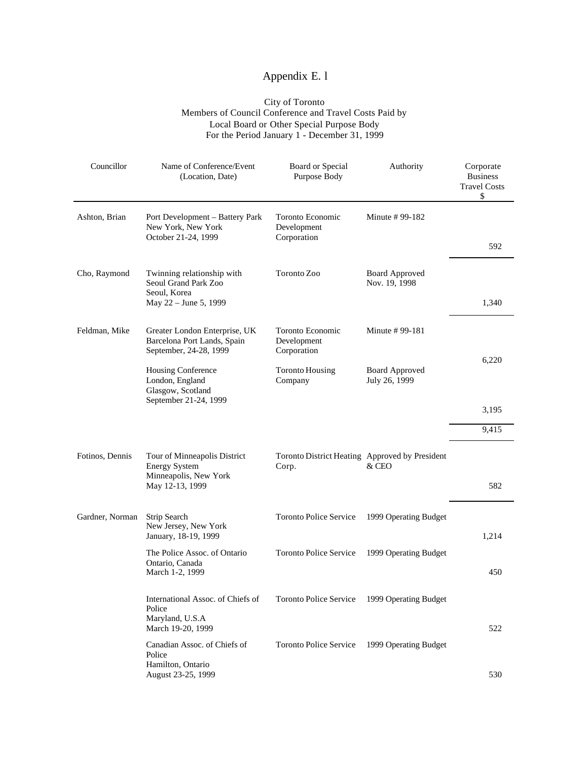# Appendix E. l

#### City of Toronto Members of Council Conference and Travel Costs Paid by Local Board or Other Special Purpose Body For the Period January 1 - December 31, 1999

| Councillor      | Name of Conference/Event<br>(Location, Date)                                                     | Board or Special<br>Purpose Body                        | Authority                              | Corporate<br><b>Business</b><br><b>Travel Costs</b><br>\$ |
|-----------------|--------------------------------------------------------------------------------------------------|---------------------------------------------------------|----------------------------------------|-----------------------------------------------------------|
| Ashton, Brian   | Port Development - Battery Park<br>New York, New York<br>October 21-24, 1999                     | Toronto Economic<br>Development<br>Corporation          | Minute # 99-182                        |                                                           |
|                 |                                                                                                  |                                                         |                                        | 592                                                       |
| Cho, Raymond    | Twinning relationship with<br>Seoul Grand Park Zoo<br>Seoul, Korea                               | Toronto Zoo                                             | <b>Board Approved</b><br>Nov. 19, 1998 |                                                           |
|                 | May 22 - June 5, 1999                                                                            |                                                         |                                        | 1,340                                                     |
| Feldman, Mike   | Greater London Enterprise, UK<br>Barcelona Port Lands, Spain<br>September, 24-28, 1999           | Toronto Economic<br>Development<br>Corporation          | Minute #99-181                         |                                                           |
|                 | Housing Conference<br>London, England<br>Glasgow, Scotland<br>September 21-24, 1999              | <b>Toronto Housing</b><br>Company                       | <b>Board Approved</b><br>July 26, 1999 | 6,220                                                     |
|                 |                                                                                                  |                                                         |                                        | 3,195                                                     |
|                 |                                                                                                  |                                                         |                                        | 9,415                                                     |
| Fotinos, Dennis | Tour of Minneapolis District<br><b>Energy System</b><br>Minneapolis, New York<br>May 12-13, 1999 | Toronto District Heating Approved by President<br>Corp. | & CEO                                  | 582                                                       |
|                 |                                                                                                  |                                                         |                                        |                                                           |
| Gardner, Norman | Strip Search<br>New Jersey, New York<br>January, 18-19, 1999                                     | <b>Toronto Police Service</b>                           | 1999 Operating Budget                  | 1,214                                                     |
|                 | The Police Assoc. of Ontario<br>Ontario, Canada<br>March 1-2, 1999                               | <b>Toronto Police Service</b>                           | 1999 Operating Budget                  | 450                                                       |
|                 | International Assoc. of Chiefs of<br>Police<br>Maryland, U.S.A<br>March 19-20, 1999              | <b>Toronto Police Service</b>                           | 1999 Operating Budget                  | 522                                                       |
|                 | Canadian Assoc. of Chiefs of<br>Police<br>Hamilton, Ontario<br>August 23-25, 1999                | <b>Toronto Police Service</b>                           | 1999 Operating Budget                  | 530                                                       |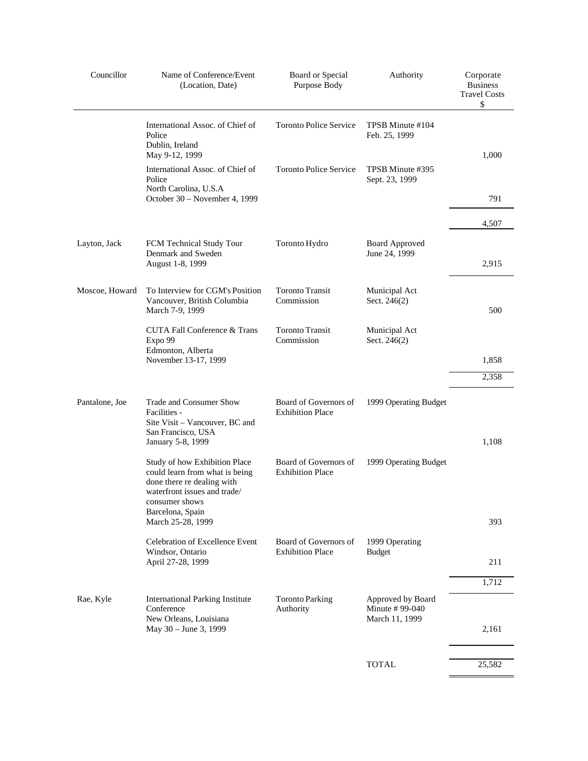| Councillor     | Name of Conference/Event<br>(Location, Date)                                                                                                                        | Board or Special<br>Purpose Body                 | Authority                                              | Corporate<br><b>Business</b><br><b>Travel Costs</b><br>\$ |
|----------------|---------------------------------------------------------------------------------------------------------------------------------------------------------------------|--------------------------------------------------|--------------------------------------------------------|-----------------------------------------------------------|
|                | International Assoc. of Chief of<br>Police<br>Dublin, Ireland                                                                                                       | <b>Toronto Police Service</b>                    | TPSB Minute #104<br>Feb. 25, 1999                      |                                                           |
|                | May 9-12, 1999                                                                                                                                                      |                                                  |                                                        | 1,000                                                     |
|                | International Assoc. of Chief of<br>Police<br>North Carolina, U.S.A<br>October 30 - November 4, 1999                                                                | <b>Toronto Police Service</b>                    | TPSB Minute #395<br>Sept. 23, 1999                     | 791                                                       |
|                |                                                                                                                                                                     |                                                  |                                                        |                                                           |
|                |                                                                                                                                                                     |                                                  |                                                        | 4,507                                                     |
| Layton, Jack   | FCM Technical Study Tour<br>Denmark and Sweden<br>August 1-8, 1999                                                                                                  | Toronto Hydro                                    | <b>Board Approved</b><br>June 24, 1999                 | 2,915                                                     |
| Moscoe, Howard | To Interview for CGM's Position<br>Vancouver, British Columbia<br>March 7-9, 1999                                                                                   | <b>Toronto Transit</b><br>Commission             | Municipal Act<br>Sect. 246(2)                          | 500                                                       |
|                | CUTA Fall Conference & Trans<br>Expo 99<br>Edmonton, Alberta                                                                                                        | <b>Toronto Transit</b><br>Commission             | Municipal Act<br>Sect. 246(2)                          |                                                           |
|                | November 13-17, 1999                                                                                                                                                |                                                  |                                                        | 1,858                                                     |
|                |                                                                                                                                                                     |                                                  |                                                        | 2,358                                                     |
| Pantalone, Joe | Trade and Consumer Show<br>Facilities -<br>Site Visit - Vancouver, BC and<br>San Francisco, USA<br>January 5-8, 1999                                                | Board of Governors of<br><b>Exhibition Place</b> | 1999 Operating Budget                                  | 1,108                                                     |
|                | Study of how Exhibition Place<br>could learn from what is being<br>done there re dealing with<br>waterfront issues and trade/<br>consumer shows<br>Barcelona, Spain | Board of Governors of<br><b>Exhibition Place</b> | 1999 Operating Budget                                  |                                                           |
|                | March 25-28, 1999                                                                                                                                                   |                                                  |                                                        | 393                                                       |
|                | Celebration of Excellence Event                                                                                                                                     | Board of Governors of                            | 1999 Operating                                         |                                                           |
|                | Windsor, Ontario<br>April 27-28, 1999                                                                                                                               | <b>Exhibition Place</b>                          | <b>Budget</b>                                          | 211                                                       |
|                |                                                                                                                                                                     |                                                  |                                                        | 1,712                                                     |
| Rae, Kyle      | <b>International Parking Institute</b><br>Conference<br>New Orleans, Louisiana<br>May 30 - June 3, 1999                                                             | <b>Toronto Parking</b><br>Authority              | Approved by Board<br>Minute # 99-040<br>March 11, 1999 | 2,161                                                     |
|                |                                                                                                                                                                     |                                                  | <b>TOTAL</b>                                           | 25,582                                                    |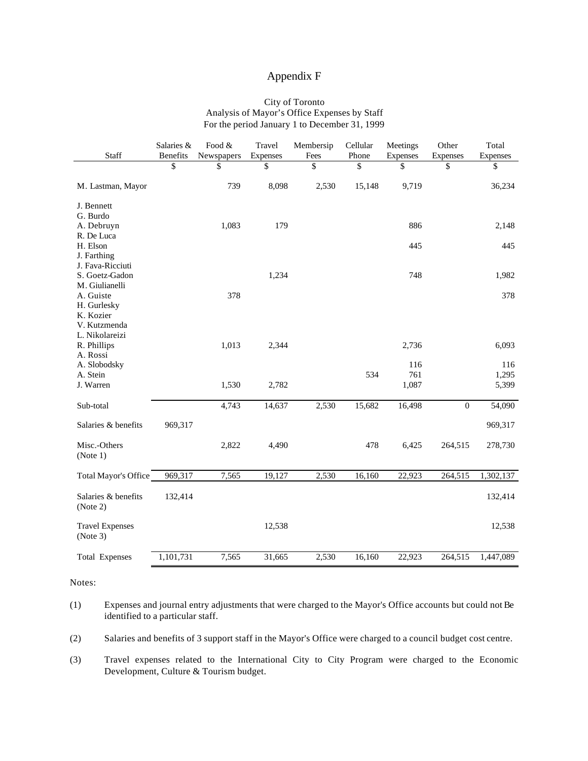### Appendix F

#### City of Toronto Analysis of Mayor's Office Expenses by Staff For the period January 1 to December 31, 1999

| \$<br>\$<br>\$<br>\$<br>\$<br>\$<br>\$<br>\$<br>739<br>8,098<br>2,530<br>M. Lastman, Mayor<br>15,148<br>9,719<br>36,234<br>J. Bennett<br>G. Burdo<br>1,083<br>179<br>886<br>2,148<br>A. Debruyn<br>R. De Luca<br>H. Elson<br>445<br>445<br>J. Farthing<br>J. Fava-Ricciuti<br>1,234<br>748<br>1,982<br>S. Goetz-Gadon<br>M. Giulianelli<br>A. Guiste<br>378<br>378<br>H. Gurlesky<br>K. Kozier<br>V. Kutzmenda<br>L. Nikolareizi<br>1,013<br>2,344<br>6,093<br>R. Phillips<br>2,736<br>A. Rossi<br>A. Slobodsky<br>116<br>116<br>A. Stein<br>534<br>761<br>1,295<br>J. Warren<br>1,530<br>2,782<br>1,087<br>5,399<br>2,530<br>$\boldsymbol{0}$<br>4,743<br>14,637<br>15,682<br>16,498<br>54,090<br>Sub-total<br>Salaries & benefits<br>969,317<br>969,317<br>Misc.-Others<br>478<br>2,822<br>4,490<br>6,425<br>264,515<br>278,730<br>(Note 1)<br>7,565<br>19,127<br>2,530<br>264,515<br>Total Mayor's Office<br>969,317<br>16,160<br>22,923<br>1,302,137<br>Salaries & benefits<br>132,414<br>132,414<br>(Note 2)<br>12,538<br><b>Travel Expenses</b><br>12,538<br>(Note 3)<br>1,101,731<br>7,565<br>2,530<br>16,160<br>1,447,089<br>Total Expenses<br>31,665<br>22,923<br>264,515 | Staff | Salaries &<br><b>Benefits</b> | Food $&$<br>Newspapers | Travel<br>Expenses | Membersip<br>Fees | Cellular<br>Phone | Meetings<br>Expenses | Other<br>Expenses | Total<br>Expenses |
|------------------------------------------------------------------------------------------------------------------------------------------------------------------------------------------------------------------------------------------------------------------------------------------------------------------------------------------------------------------------------------------------------------------------------------------------------------------------------------------------------------------------------------------------------------------------------------------------------------------------------------------------------------------------------------------------------------------------------------------------------------------------------------------------------------------------------------------------------------------------------------------------------------------------------------------------------------------------------------------------------------------------------------------------------------------------------------------------------------------------------------------------------------------------------------|-------|-------------------------------|------------------------|--------------------|-------------------|-------------------|----------------------|-------------------|-------------------|
|                                                                                                                                                                                                                                                                                                                                                                                                                                                                                                                                                                                                                                                                                                                                                                                                                                                                                                                                                                                                                                                                                                                                                                                    |       |                               |                        |                    |                   |                   |                      |                   |                   |
|                                                                                                                                                                                                                                                                                                                                                                                                                                                                                                                                                                                                                                                                                                                                                                                                                                                                                                                                                                                                                                                                                                                                                                                    |       |                               |                        |                    |                   |                   |                      |                   |                   |
|                                                                                                                                                                                                                                                                                                                                                                                                                                                                                                                                                                                                                                                                                                                                                                                                                                                                                                                                                                                                                                                                                                                                                                                    |       |                               |                        |                    |                   |                   |                      |                   |                   |
|                                                                                                                                                                                                                                                                                                                                                                                                                                                                                                                                                                                                                                                                                                                                                                                                                                                                                                                                                                                                                                                                                                                                                                                    |       |                               |                        |                    |                   |                   |                      |                   |                   |
|                                                                                                                                                                                                                                                                                                                                                                                                                                                                                                                                                                                                                                                                                                                                                                                                                                                                                                                                                                                                                                                                                                                                                                                    |       |                               |                        |                    |                   |                   |                      |                   |                   |
|                                                                                                                                                                                                                                                                                                                                                                                                                                                                                                                                                                                                                                                                                                                                                                                                                                                                                                                                                                                                                                                                                                                                                                                    |       |                               |                        |                    |                   |                   |                      |                   |                   |
|                                                                                                                                                                                                                                                                                                                                                                                                                                                                                                                                                                                                                                                                                                                                                                                                                                                                                                                                                                                                                                                                                                                                                                                    |       |                               |                        |                    |                   |                   |                      |                   |                   |
|                                                                                                                                                                                                                                                                                                                                                                                                                                                                                                                                                                                                                                                                                                                                                                                                                                                                                                                                                                                                                                                                                                                                                                                    |       |                               |                        |                    |                   |                   |                      |                   |                   |
|                                                                                                                                                                                                                                                                                                                                                                                                                                                                                                                                                                                                                                                                                                                                                                                                                                                                                                                                                                                                                                                                                                                                                                                    |       |                               |                        |                    |                   |                   |                      |                   |                   |
|                                                                                                                                                                                                                                                                                                                                                                                                                                                                                                                                                                                                                                                                                                                                                                                                                                                                                                                                                                                                                                                                                                                                                                                    |       |                               |                        |                    |                   |                   |                      |                   |                   |
|                                                                                                                                                                                                                                                                                                                                                                                                                                                                                                                                                                                                                                                                                                                                                                                                                                                                                                                                                                                                                                                                                                                                                                                    |       |                               |                        |                    |                   |                   |                      |                   |                   |
|                                                                                                                                                                                                                                                                                                                                                                                                                                                                                                                                                                                                                                                                                                                                                                                                                                                                                                                                                                                                                                                                                                                                                                                    |       |                               |                        |                    |                   |                   |                      |                   |                   |
|                                                                                                                                                                                                                                                                                                                                                                                                                                                                                                                                                                                                                                                                                                                                                                                                                                                                                                                                                                                                                                                                                                                                                                                    |       |                               |                        |                    |                   |                   |                      |                   |                   |
|                                                                                                                                                                                                                                                                                                                                                                                                                                                                                                                                                                                                                                                                                                                                                                                                                                                                                                                                                                                                                                                                                                                                                                                    |       |                               |                        |                    |                   |                   |                      |                   |                   |
|                                                                                                                                                                                                                                                                                                                                                                                                                                                                                                                                                                                                                                                                                                                                                                                                                                                                                                                                                                                                                                                                                                                                                                                    |       |                               |                        |                    |                   |                   |                      |                   |                   |
|                                                                                                                                                                                                                                                                                                                                                                                                                                                                                                                                                                                                                                                                                                                                                                                                                                                                                                                                                                                                                                                                                                                                                                                    |       |                               |                        |                    |                   |                   |                      |                   |                   |
|                                                                                                                                                                                                                                                                                                                                                                                                                                                                                                                                                                                                                                                                                                                                                                                                                                                                                                                                                                                                                                                                                                                                                                                    |       |                               |                        |                    |                   |                   |                      |                   |                   |
|                                                                                                                                                                                                                                                                                                                                                                                                                                                                                                                                                                                                                                                                                                                                                                                                                                                                                                                                                                                                                                                                                                                                                                                    |       |                               |                        |                    |                   |                   |                      |                   |                   |

Notes:

(1) Expenses and journal entry adjustments that were charged to the Mayor's Office accounts but could not Be identified to a particular staff.

(2) Salaries and benefits of 3 support staff in the Mayor's Office were charged to a council budget cost centre.

(3) Travel expenses related to the International City to City Program were charged to the Economic Development, Culture & Tourism budget.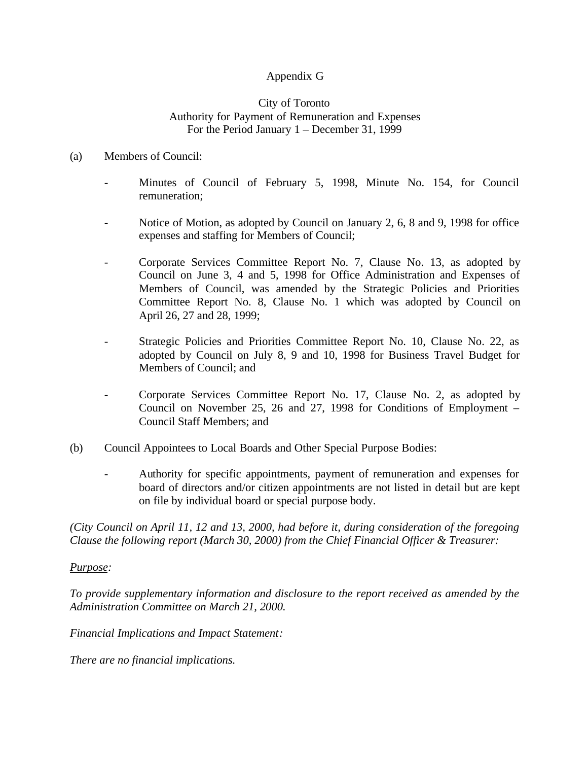# Appendix G

### City of Toronto Authority for Payment of Remuneration and Expenses For the Period January 1 – December 31, 1999

### (a) Members of Council:

- Minutes of Council of February 5, 1998, Minute No. 154, for Council remuneration;
- Notice of Motion, as adopted by Council on January 2, 6, 8 and 9, 1998 for office expenses and staffing for Members of Council;
- Corporate Services Committee Report No. 7, Clause No. 13, as adopted by Council on June 3, 4 and 5, 1998 for Office Administration and Expenses of Members of Council, was amended by the Strategic Policies and Priorities Committee Report No. 8, Clause No. 1 which was adopted by Council on April 26, 27 and 28, 1999;
- Strategic Policies and Priorities Committee Report No. 10, Clause No. 22, as adopted by Council on July 8, 9 and 10, 1998 for Business Travel Budget for Members of Council; and
- Corporate Services Committee Report No. 17, Clause No. 2, as adopted by Council on November 25, 26 and 27, 1998 for Conditions of Employment – Council Staff Members; and
- (b) Council Appointees to Local Boards and Other Special Purpose Bodies:
	- Authority for specific appointments, payment of remuneration and expenses for board of directors and/or citizen appointments are not listed in detail but are kept on file by individual board or special purpose body.

*(City Council on April 11, 12 and 13, 2000, had before it, during consideration of the foregoing Clause the following report (March 30, 2000) from the Chief Financial Officer & Treasurer:*

### *Purpose:*

*To provide supplementary information and disclosure to the report received as amended by the Administration Committee on March 21, 2000.*

### *Financial Implications and Impact Statement:*

*There are no financial implications.*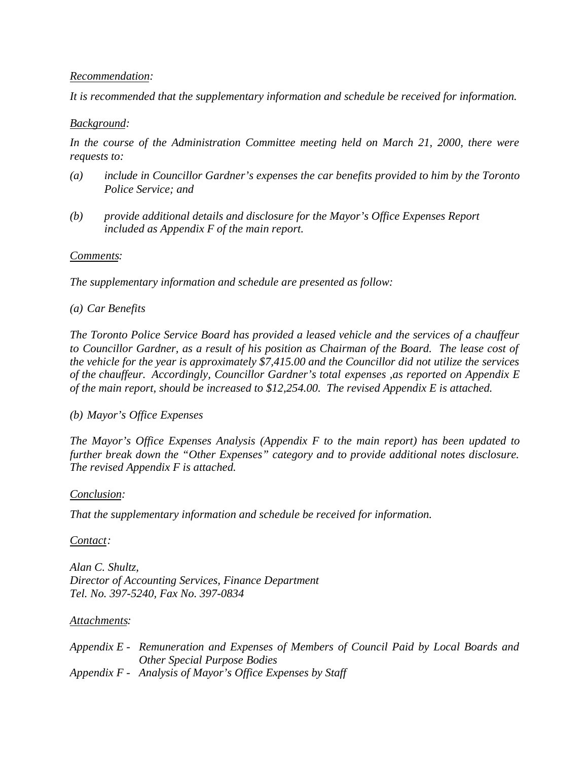### *Recommendation:*

*It is recommended that the supplementary information and schedule be received for information.*

## *Background:*

*In the course of the Administration Committee meeting held on March 21, 2000, there were requests to:*

- *(a) include in Councillor Gardner's expenses the car benefits provided to him by the Toronto Police Service; and*
- *(b) provide additional details and disclosure for the Mayor's Office Expenses Report included as Appendix F of the main report.*

### *Comments:*

*The supplementary information and schedule are presented as follow:*

### *(a) Car Benefits*

*The Toronto Police Service Board has provided a leased vehicle and the services of a chauffeur to Councillor Gardner, as a result of his position as Chairman of the Board. The lease cost of the vehicle for the year is approximately \$7,415.00 and the Councillor did not utilize the services of the chauffeur. Accordingly, Councillor Gardner's total expenses ,as reported on Appendix E of the main report, should be increased to \$12,254.00. The revised Appendix E is attached.*

## *(b) Mayor's Office Expenses*

*The Mayor's Office Expenses Analysis (Appendix F to the main report) has been updated to further break down the "Other Expenses" category and to provide additional notes disclosure. The revised Appendix F is attached.*

### *Conclusion:*

*That the supplementary information and schedule be received for information.*

### *Contact:*

*Alan C. Shultz, Director of Accounting Services, Finance Department Tel. No. 397-5240, Fax No. 397-0834*

### *Attachments:*

*Appendix E - Remuneration and Expenses of Members of Council Paid by Local Boards and Other Special Purpose Bodies Appendix F - Analysis of Mayor's Office Expenses by Staff*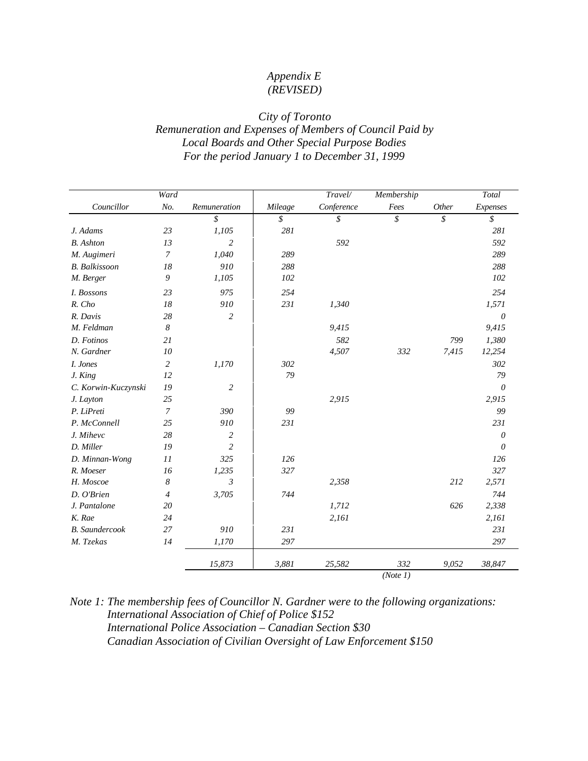# *Appendix E (REVISED)*

## *City of Toronto Remuneration and Expenses of Members of Council Paid by Local Boards and Other Special Purpose Bodies For the period January 1 to December 31, 1999*

|                       | Ward             |                |         | Travel/    | Membership |       | Total    |
|-----------------------|------------------|----------------|---------|------------|------------|-------|----------|
| Councillor            | No.              | Remuneration   | Mileage | Conference | Fees       | Other | Expenses |
|                       |                  | $\sqrt{s}$     | \$      | \$         | \$         | \$    | \$       |
| J. Adams              | 23               | 1,105          | 281     |            |            |       | 281      |
| <b>B.</b> Ashton      | 13               | $\overline{c}$ |         | 592        |            |       | 592      |
| M. Augimeri           | $\boldsymbol{7}$ | 1,040          | 289     |            |            |       | 289      |
| <b>B.</b> Balkissoon  | 18               | 910            | 288     |            |            |       | 288      |
| M. Berger             | 9                | 1,105          | 102     |            |            |       | 102      |
| I. Bossons            | 23               | 975            | 254     |            |            |       | 254      |
| R. Cho                | 18               | 910            | 231     | 1,340      |            |       | 1,571    |
| R. Davis              | 28               | $\overline{c}$ |         |            |            |       | $\theta$ |
| M. Feldman            | $\boldsymbol{8}$ |                |         | 9,415      |            |       | 9,415    |
| D. Fotinos            | 21               |                |         | 582        |            | 799   | 1,380    |
| N. Gardner            | 10               |                |         | 4,507      | 332        | 7,415 | 12,254   |
| I. Jones              | $\overline{c}$   | 1,170          | 302     |            |            |       | 302      |
| J. King               | 12               |                | 79      |            |            |       | 79       |
| C. Korwin-Kuczynski   | 19               | $\overline{c}$ |         |            |            |       | $\theta$ |
| J. Layton             | 25               |                |         | 2,915      |            |       | 2,915    |
| P. LiPreti            | $\overline{7}$   | 390            | 99      |            |            |       | 99       |
| P. McConnell          | 25               | 910            | 231     |            |            |       | 231      |
| J. Mihevc             | 28               | 2              |         |            |            |       | 0        |
| D. Miller             | 19               | $\overline{c}$ |         |            |            |       | $\theta$ |
| D. Minnan-Wong        | 11               | 325            | 126     |            |            |       | 126      |
| R. Moeser             | 16               | 1,235          | 327     |            |            |       | 327      |
| H. Moscoe             | $\boldsymbol{8}$ | $\mathfrak{Z}$ |         | 2,358      |            | 212   | 2,571    |
| D. O'Brien            | $\overline{4}$   | 3,705          | 744     |            |            |       | 744      |
| J. Pantalone          | 20               |                |         | 1,712      |            | 626   | 2,338    |
| K. Rae                | 24               |                |         | 2,161      |            |       | 2,161    |
| <b>B.</b> Saundercook | 27               | 910            | 231     |            |            |       | 231      |
| M. Tzekas             | 14               | 1,170          | 297     |            |            |       | 297      |
|                       |                  | 15,873         | 3,881   | 25,582     | 332        | 9,052 | 38,847   |
|                       |                  |                |         |            | (Note 1)   |       |          |

## *Note 1: The membership fees of Councillor N. Gardner were to the following organizations: International Association of Chief of Police \$152 International Police Association – Canadian Section \$30 Canadian Association of Civilian Oversight of Law Enforcement \$150*